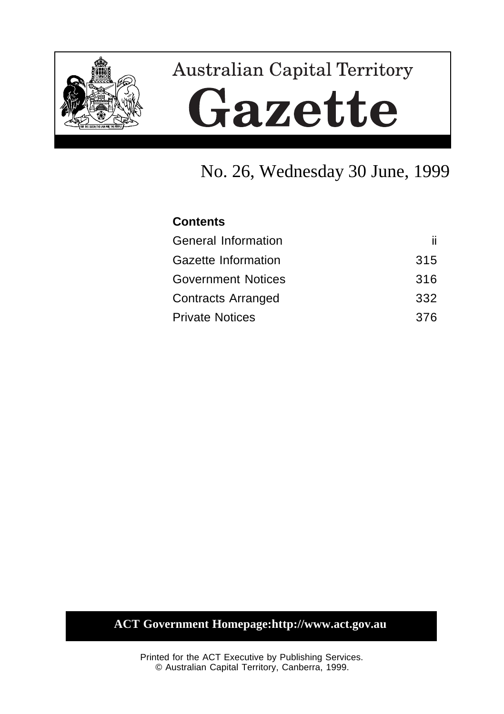

# **Australian Capital Territory** Gazette

# No. 26, Wednesday 30 June, 1999

| <b>Contents</b>            |     |
|----------------------------|-----|
| <b>General Information</b> | ii. |
| Gazette Information        | 315 |
| <b>Government Notices</b>  | 316 |
| <b>Contracts Arranged</b>  | 332 |
| <b>Private Notices</b>     | 376 |

### **ACT Government Homepage:http://www.act.gov.au**

Printed for the ACT Executive by Publishing Services. © Australian Capital Territory, Canberra, 1999.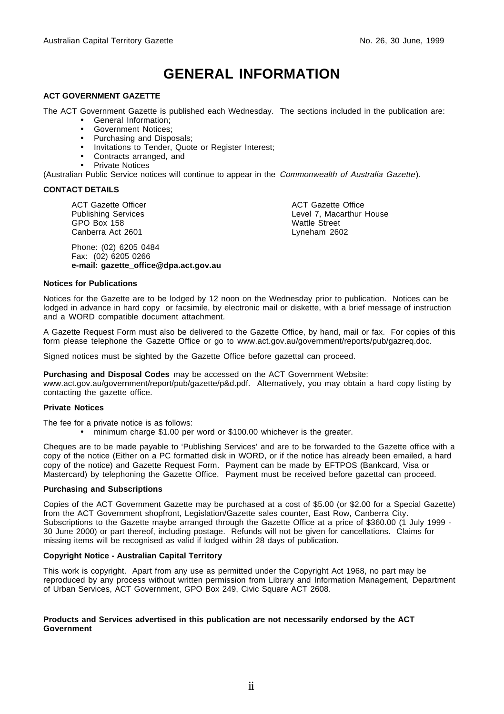# **GENERAL INFORMATION**

#### **ACT GOVERNMENT GAZETTE**

The ACT Government Gazette is published each Wednesday. The sections included in the publication are:

- General Information;
- Government Notices;
- Purchasing and Disposals;
- Invitations to Tender, Quote or Register Interest;
- Contracts arranged, and
- Private Notices

(Australian Public Service notices will continue to appear in the Commonwealth of Australia Gazette).

#### **CONTACT DETAILS**

ACT Gazette Officer Publishing Services GPO Box 158 Canberra Act 2601

Phone: (02) 6205 0484 Fax: (02) 6205 0266 **e-mail: gazette\_office@dpa.act.gov.au** ACT Gazette Office Level 7, Macarthur House Wattle Street Lyneham 2602

#### **Notices for Publications**

Notices for the Gazette are to be lodged by 12 noon on the Wednesday prior to publication. Notices can be lodged in advance in hard copy or facsimile, by electronic mail or diskette, with a brief message of instruction and a WORD compatible document attachment.

A Gazette Request Form must also be delivered to the Gazette Office, by hand, mail or fax. For copies of this form please telephone the Gazette Office or go to www.act.gov.au/government/reports/pub/gazreq.doc.

Signed notices must be sighted by the Gazette Office before gazettal can proceed.

**Purchasing and Disposal Codes** may be accessed on the ACT Government Website:

www.act.gov.au/government/report/pub/gazette/p&d.pdf. Alternatively, you may obtain a hard copy listing by contacting the gazette office.

#### **Private Notices**

The fee for a private notice is as follows:

• minimum charge \$1.00 per word or \$100.00 whichever is the greater.

Cheques are to be made payable to 'Publishing Services' and are to be forwarded to the Gazette office with a copy of the notice (Either on a PC formatted disk in WORD, or if the notice has already been emailed, a hard copy of the notice) and Gazette Request Form. Payment can be made by EFTPOS (Bankcard, Visa or Mastercard) by telephoning the Gazette Office. Payment must be received before gazettal can proceed.

#### **Purchasing and Subscriptions**

Copies of the ACT Government Gazette may be purchased at a cost of \$5.00 (or \$2.00 for a Special Gazette) from the ACT Government shopfront, Legislation/Gazette sales counter, East Row, Canberra City. Subscriptions to the Gazette maybe arranged through the Gazette Office at a price of \$360.00 (1 July 1999 - 30 June 2000) or part thereof, including postage. Refunds will not be given for cancellations. Claims for missing items will be recognised as valid if lodged within 28 days of publication.

#### **Copyright Notice - Australian Capital Territory**

This work is copyright. Apart from any use as permitted under the Copyright Act 1968, no part may be reproduced by any process without written permission from Library and Information Management, Department of Urban Services, ACT Government, GPO Box 249, Civic Square ACT 2608.

#### **Products and Services advertised in this publication are not necessarily endorsed by the ACT Government**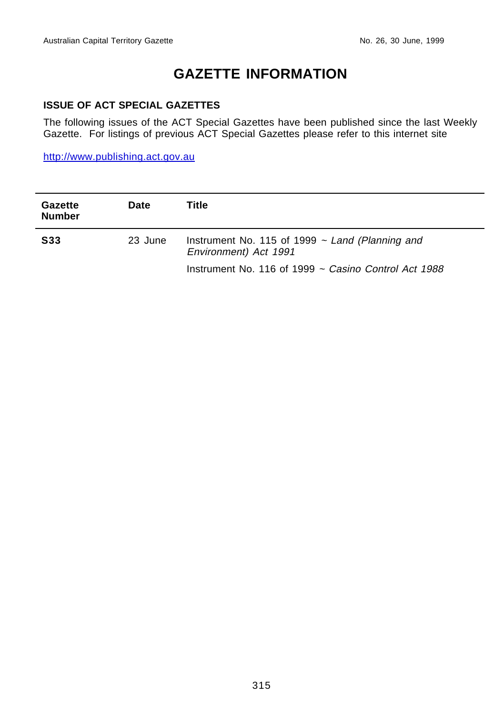# **GAZETTE INFORMATION**

#### **ISSUE OF ACT SPECIAL GAZETTES**

The following issues of the ACT Special Gazettes have been published since the last Weekly Gazette. For listings of previous ACT Special Gazettes please refer to this internet site

http://www.publishing.act.gov.au

| <b>Gazette</b><br><b>Number</b> | Date    | Title                                                                         |
|---------------------------------|---------|-------------------------------------------------------------------------------|
| <b>S33</b>                      | 23 June | Instrument No. 115 of 1999 $\sim$ Land (Planning and<br>Environment) Act 1991 |
|                                 |         | Instrument No. 116 of 1999 $\sim$ Casino Control Act 1988                     |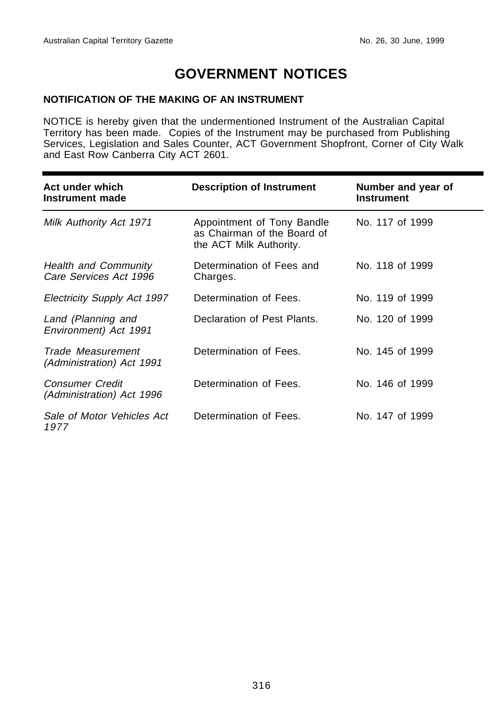## **GOVERNMENT NOTICES**

#### **NOTIFICATION OF THE MAKING OF AN INSTRUMENT**

NOTICE is hereby given that the undermentioned Instrument of the Australian Capital Territory has been made. Copies of the Instrument may be purchased from Publishing Services, Legislation and Sales Counter, ACT Government Shopfront, Corner of City Walk and East Row Canberra City ACT 2601.

| Act under which<br>Instrument made                    | <b>Description of Instrument</b>                                                     | Number and year of<br><b>Instrument</b> |
|-------------------------------------------------------|--------------------------------------------------------------------------------------|-----------------------------------------|
| Milk Authority Act 1971                               | Appointment of Tony Bandle<br>as Chairman of the Board of<br>the ACT Milk Authority. | No. 117 of 1999                         |
| <b>Health and Community</b><br>Care Services Act 1996 | Determination of Fees and<br>Charges.                                                | No. 118 of 1999                         |
| Electricity Supply Act 1997                           | Determination of Fees.                                                               | No. 119 of 1999                         |
| Land (Planning and<br>Environment) Act 1991           | Declaration of Pest Plants.                                                          | No. 120 of 1999                         |
| Trade Measurement<br>(Administration) Act 1991        | Determination of Fees.                                                               | No. 145 of 1999                         |
| <b>Consumer Credit</b><br>(Administration) Act 1996   | Determination of Fees.                                                               | No. 146 of 1999                         |
| Sale of Motor Vehicles Act<br>1977                    | Determination of Fees.                                                               | No. 147 of 1999                         |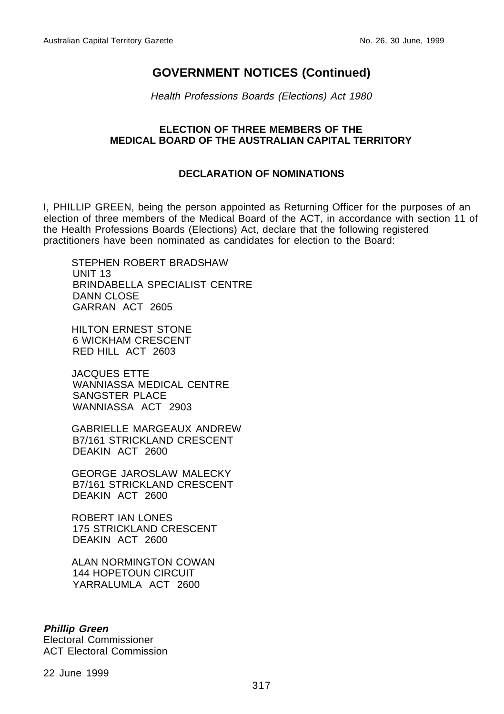Health Professions Boards (Elections) Act 1980

#### **ELECTION OF THREE MEMBERS OF THE MEDICAL BOARD OF THE AUSTRALIAN CAPITAL TERRITORY**

### **DECLARATION OF NOMINATIONS**

I, PHILLIP GREEN, being the person appointed as Returning Officer for the purposes of an election of three members of the Medical Board of the ACT, in accordance with section 11 of the Health Professions Boards (Elections) Act, declare that the following registered practitioners have been nominated as candidates for election to the Board:

STEPHEN ROBERT BRADSHAW UNIT 13 BRINDABELLA SPECIALIST CENTRE DANN CLOSE GARRAN ACT 2605

HILTON ERNEST STONE 6 WICKHAM CRESCENT RED HILL ACT 2603

JACQUES ETTE WANNIASSA MEDICAL CENTRE SANGSTER PLACE WANNIASSA ACT 2903

GABRIELLE MARGEAUX ANDREW B7/161 STRICKLAND CRESCENT DEAKIN ACT 2600

GEORGE JAROSLAW MALECKY B7/161 STRICKLAND CRESCENT DEAKIN ACT 2600

ROBERT IAN LONES 175 STRICKLAND CRESCENT DEAKIN ACT 2600

ALAN NORMINGTON COWAN 144 HOPETOUN CIRCUIT YARRALUMLA ACT 2600

#### **Phillip Green** Electoral Commissioner ACT Electoral Commission

22 June 1999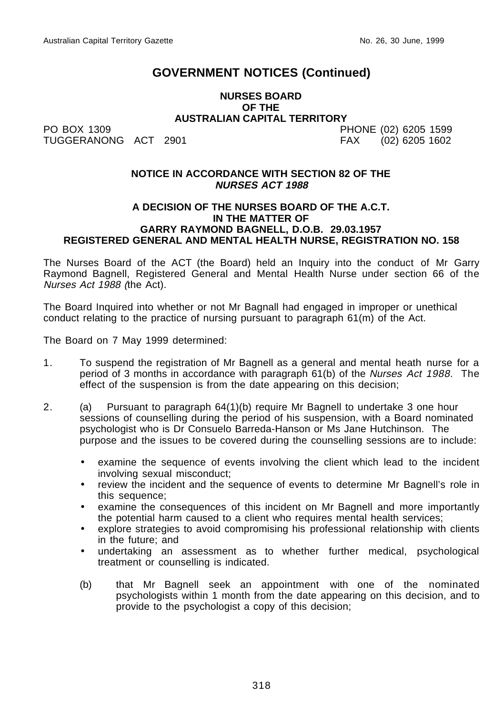#### **NURSES BOARD OF THE AUSTRALIAN CAPITAL TERRITORY**

PO BOX 1309 PHONE (02) 6205 1599 TUGGERANONG ACT 2901 FAX (02) 6205 1602

#### **NOTICE IN ACCORDANCE WITH SECTION 82 OF THE NURSES ACT 1988**

#### **A DECISION OF THE NURSES BOARD OF THE A.C.T. IN THE MATTER OF GARRY RAYMOND BAGNELL, D.O.B. 29.03.1957 REGISTERED GENERAL AND MENTAL HEALTH NURSE, REGISTRATION NO. 158**

The Nurses Board of the ACT (the Board) held an Inquiry into the conduct of Mr Garry Raymond Bagnell, Registered General and Mental Health Nurse under section 66 of the Nurses Act 1988 (the Act).

The Board Inquired into whether or not Mr Bagnall had engaged in improper or unethical conduct relating to the practice of nursing pursuant to paragraph 61(m) of the Act.

The Board on 7 May 1999 determined:

- 1. To suspend the registration of Mr Bagnell as a general and mental heath nurse for a period of 3 months in accordance with paragraph 61(b) of the Nurses Act 1988. The effect of the suspension is from the date appearing on this decision;
- 2. (a) Pursuant to paragraph 64(1)(b) require Mr Bagnell to undertake 3 one hour sessions of counselling during the period of his suspension, with a Board nominated psychologist who is Dr Consuelo Barreda-Hanson or Ms Jane Hutchinson. The purpose and the issues to be covered during the counselling sessions are to include:
	- examine the sequence of events involving the client which lead to the incident involving sexual misconduct;
	- review the incident and the sequence of events to determine Mr Bagnell's role in this sequence;
	- examine the consequences of this incident on Mr Bagnell and more importantly the potential harm caused to a client who requires mental health services;
	- explore strategies to avoid compromising his professional relationship with clients in the future; and
	- undertaking an assessment as to whether further medical, psychological treatment or counselling is indicated.
	- (b) that Mr Bagnell seek an appointment with one of the nominated psychologists within 1 month from the date appearing on this decision, and to provide to the psychologist a copy of this decision;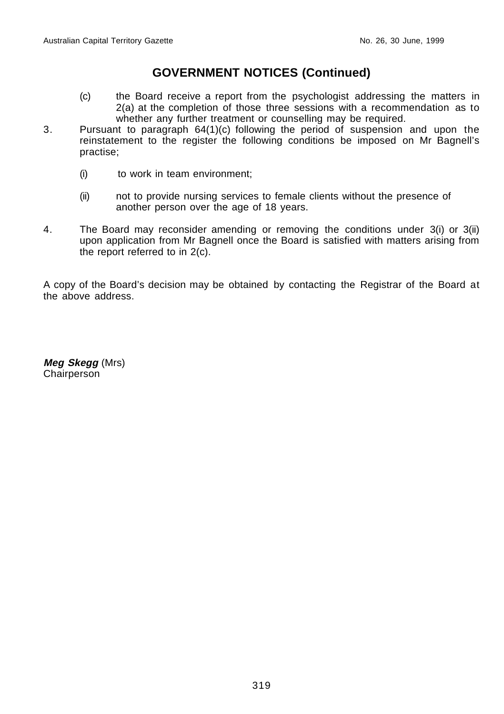- (c) the Board receive a report from the psychologist addressing the matters in 2(a) at the completion of those three sessions with a recommendation as to whether any further treatment or counselling may be required.
- 3. Pursuant to paragraph 64(1)(c) following the period of suspension and upon the reinstatement to the register the following conditions be imposed on Mr Bagnell's practise;
	- (i) to work in team environment;
	- (ii) not to provide nursing services to female clients without the presence of another person over the age of 18 years.
- 4. The Board may reconsider amending or removing the conditions under 3(i) or 3(ii) upon application from Mr Bagnell once the Board is satisfied with matters arising from the report referred to in 2(c).

A copy of the Board's decision may be obtained by contacting the Registrar of the Board at the above address.

**Meg Skegg** (Mrs) Chairperson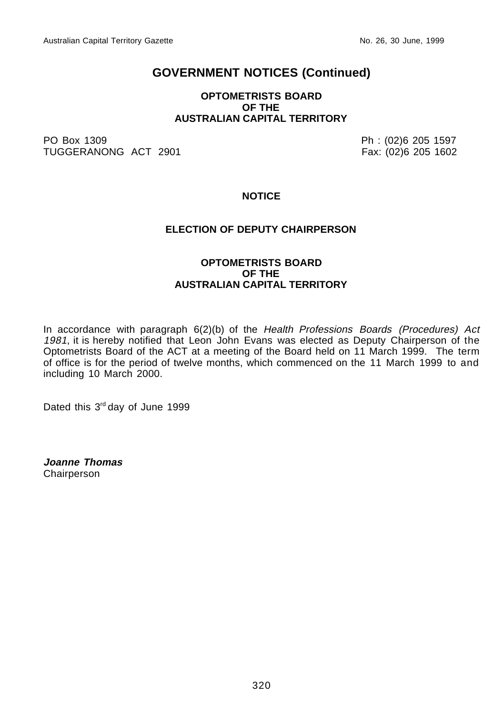#### **OPTOMETRISTS BOARD OF THE AUSTRALIAN CAPITAL TERRITORY**

PO Box 1309 Ph : (02)6 205 1597 TUGGERANONG ACT 2901

#### **NOTICE**

#### **ELECTION OF DEPUTY CHAIRPERSON**

#### **OPTOMETRISTS BOARD OF THE AUSTRALIAN CAPITAL TERRITORY**

In accordance with paragraph 6(2)(b) of the Health Professions Boards (Procedures) Act 1981, it is hereby notified that Leon John Evans was elected as Deputy Chairperson of the Optometrists Board of the ACT at a meeting of the Board held on 11 March 1999. The term of office is for the period of twelve months, which commenced on the 11 March 1999 to and including 10 March 2000.

Dated this 3rd day of June 1999

**Joanne Thomas** Chairperson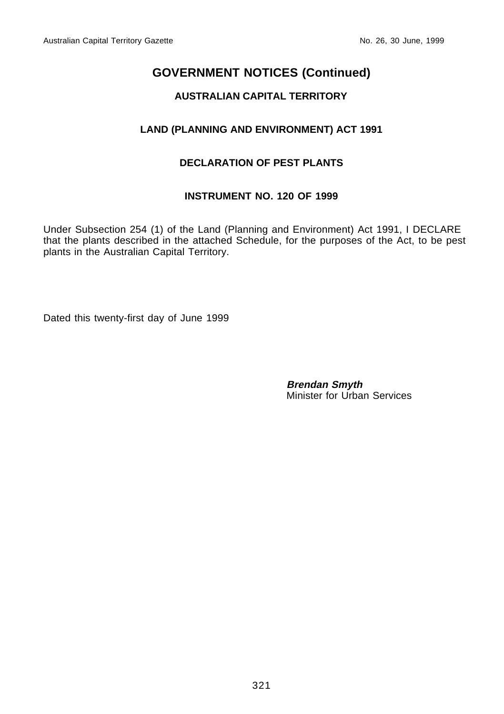### **AUSTRALIAN CAPITAL TERRITORY**

### **LAND (PLANNING AND ENVIRONMENT) ACT 1991**

### **DECLARATION OF PEST PLANTS**

#### **INSTRUMENT NO. 120 OF 1999**

Under Subsection 254 (1) of the Land (Planning and Environment) Act 1991, I DECLARE that the plants described in the attached Schedule, for the purposes of the Act, to be pest plants in the Australian Capital Territory.

Dated this twenty-first day of June 1999

**Brendan Smyth** Minister for Urban Services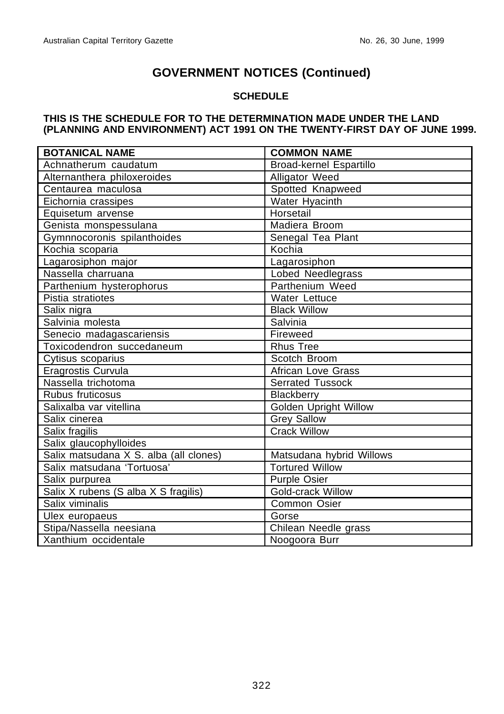### **SCHEDULE**

#### **THIS IS THE SCHEDULE FOR TO THE DETERMINATION MADE UNDER THE LAND (PLANNING AND ENVIRONMENT) ACT 1991 ON THE TWENTY-FIRST DAY OF JUNE 1999.**

| <b>BOTANICAL NAME</b>                  | <b>COMMON NAME</b>             |
|----------------------------------------|--------------------------------|
| Achnatherum caudatum                   | <b>Broad-kernel Espartillo</b> |
| Alternanthera philoxeroides            | Alligator Weed                 |
| Centaurea maculosa                     | Spotted Knapweed               |
| Eichornia crassipes                    | Water Hyacinth                 |
| Equisetum arvense                      | Horsetail                      |
| Genista monspessulana                  | Madiera Broom                  |
| Gymnnocoronis spilanthoides            | Senegal Tea Plant              |
| Kochia scoparia                        | Kochia                         |
| Lagarosiphon major                     | Lagarosiphon                   |
| Nassella charruana                     | Lobed Needlegrass              |
| Parthenium hysterophorus               | Parthenium Weed                |
| Pistia stratiotes                      | Water Lettuce                  |
| Salix nigra                            | <b>Black Willow</b>            |
| Salvinia molesta                       | Salvinia                       |
| Senecio madagascariensis               | Fireweed                       |
| Toxicodendron succedaneum              | <b>Rhus Tree</b>               |
| Cytisus scoparius                      | Scotch Broom                   |
| Eragrostis Curvula                     | <b>African Love Grass</b>      |
| Nassella trichotoma                    | <b>Serrated Tussock</b>        |
| Rubus fruticosus                       | Blackberry                     |
| Salixalba var vitellina                | <b>Golden Upright Willow</b>   |
| Salix cinerea                          | <b>Grey Sallow</b>             |
| Salix fragilis                         | <b>Crack Willow</b>            |
| Salix glaucophylloides                 |                                |
| Salix matsudana X S. alba (all clones) | Matsudana hybrid Willows       |
| Salix matsudana 'Tortuosa'             | <b>Tortured Willow</b>         |
| Salix purpurea                         | <b>Purple Osier</b>            |
| Salix X rubens (S alba X S fragilis)   | <b>Gold-crack Willow</b>       |
| Salix viminalis                        | Common Osier                   |
| Ulex europaeus                         | Gorse                          |
| Stipa/Nassella neesiana                | Chilean Needle grass           |
| Xanthium occidentale                   | Noogoora Burr                  |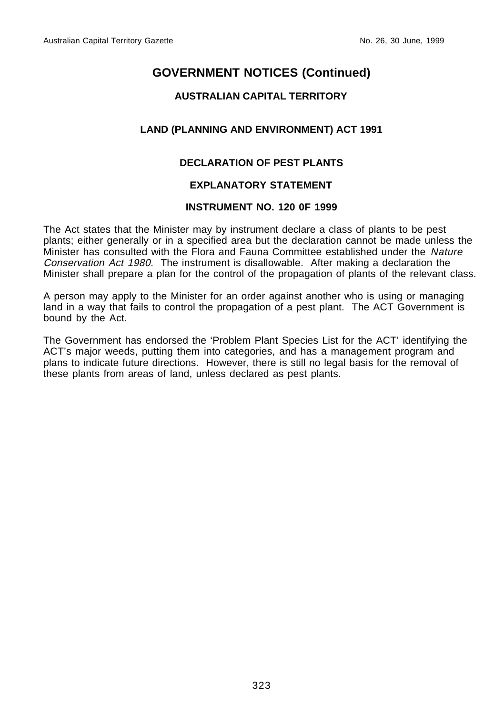### **AUSTRALIAN CAPITAL TERRITORY**

### **LAND (PLANNING AND ENVIRONMENT) ACT 1991**

### **DECLARATION OF PEST PLANTS**

### **EXPLANATORY STATEMENT**

#### **INSTRUMENT NO. 120 0F 1999**

The Act states that the Minister may by instrument declare a class of plants to be pest plants; either generally or in a specified area but the declaration cannot be made unless the Minister has consulted with the Flora and Fauna Committee established under the Nature Conservation Act 1980. The instrument is disallowable. After making a declaration the Minister shall prepare a plan for the control of the propagation of plants of the relevant class.

A person may apply to the Minister for an order against another who is using or managing land in a way that fails to control the propagation of a pest plant. The ACT Government is bound by the Act.

The Government has endorsed the 'Problem Plant Species List for the ACT' identifying the ACT's major weeds, putting them into categories, and has a management program and plans to indicate future directions. However, there is still no legal basis for the removal of these plants from areas of land, unless declared as pest plants.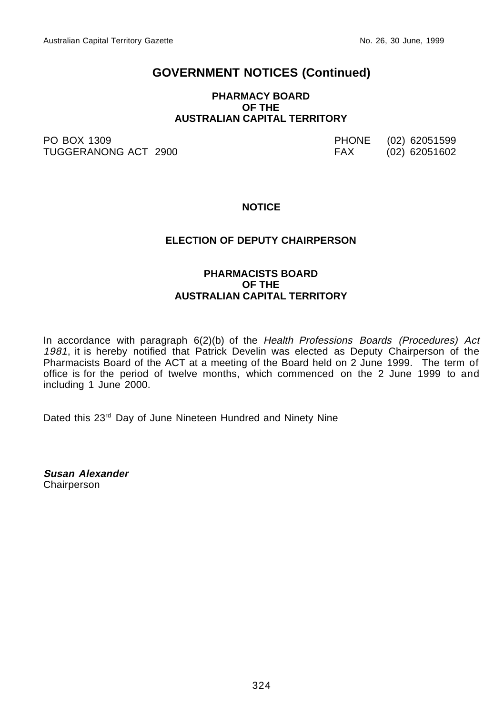#### **PHARMACY BOARD OF THE AUSTRALIAN CAPITAL TERRITORY**

PO BOX 1309 PHONE (02) 62051599 TUGGERANONG ACT 2900

#### **NOTICE**

#### **ELECTION OF DEPUTY CHAIRPERSON**

#### **PHARMACISTS BOARD OF THE AUSTRALIAN CAPITAL TERRITORY**

In accordance with paragraph 6(2)(b) of the Health Professions Boards (Procedures) Act 1981, it is hereby notified that Patrick Develin was elected as Deputy Chairperson of the Pharmacists Board of the ACT at a meeting of the Board held on 2 June 1999. The term of office is for the period of twelve months, which commenced on the 2 June 1999 to and including 1 June 2000.

Dated this 23<sup>rd</sup> Day of June Nineteen Hundred and Ninety Nine

**Susan Alexander Chairperson**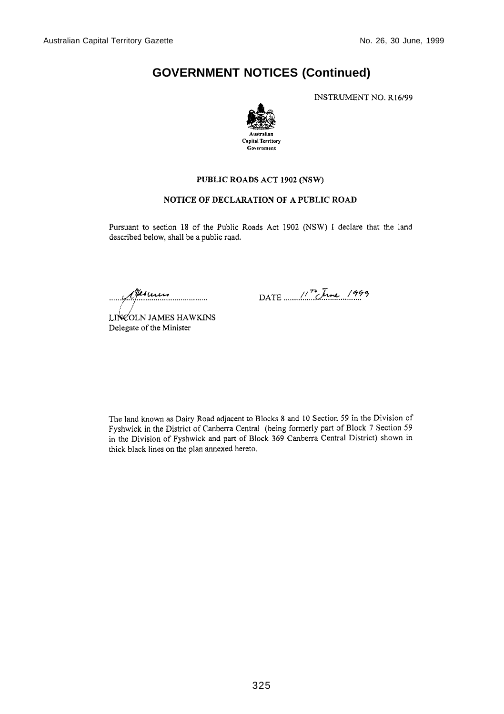INSTRUMENT NO. R16/99



#### PUBLIC ROADS ACT 1902 (NSW)

#### NOTICE OF DECLARATION OF A PUBLIC ROAD

Pursuant to section 18 of the Public Roads Act 1902 (NSW) I declare that the land described below, shall be a public road.

Perunus

DATE  $17.$  The 1999

LINEOLN JAMES HAWKINS Delegate of the Minister

The land known as Dairy Road adjacent to Blocks 8 and 10 Section 59 in the Division of Fyshwick in the District of Canberra Central (being formerly part of Block 7 Section 59 in the Division of Fyshwick and part of Block 369 Canberra Central District) shown in thick black lines on the plan annexed hereto.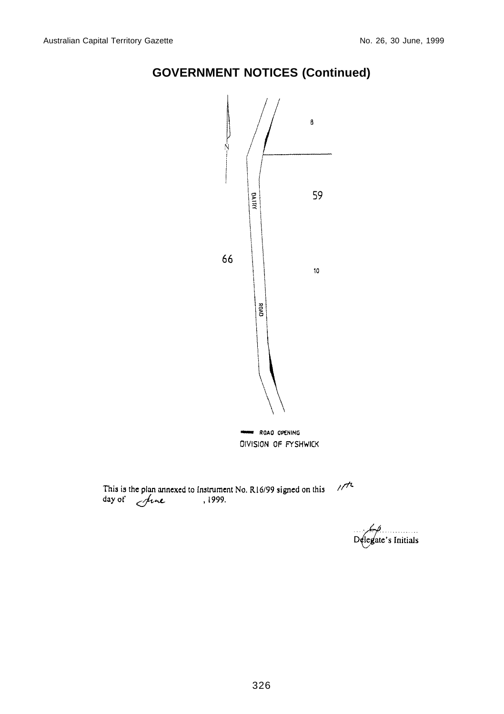



 $1/7$ This is the plan annexed to Instrument No. R16/99 signed on this day of  $\mu$  . 1999.

 $\frac{1}{2}$ legate's Initials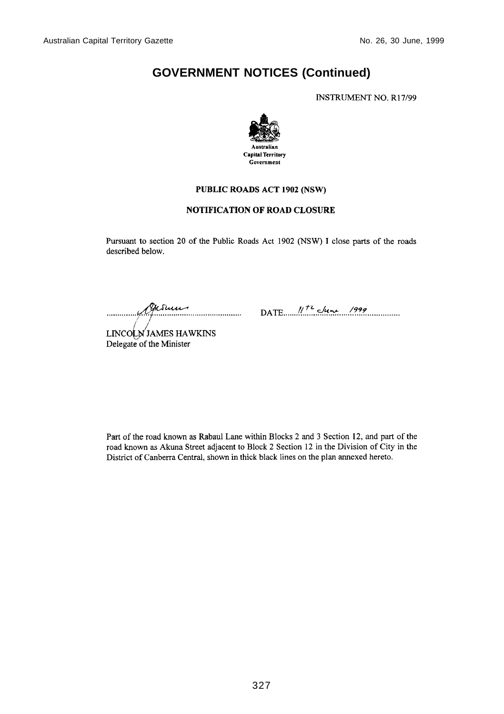**INSTRUMENT NO. R17/99** 



#### PUBLIC ROADS ACT 1902 (NSW)

#### **NOTIFICATION OF ROAD CLOSURE**

Pursuant to section 20 of the Public Roads Act 1902 (NSW) I close parts of the roads described below.

Me Sure  $\ldots$ 

DATE  $11^{12}$  clune 1999

LINCOLN JAMES HAWKINS Delegate of the Minister

Part of the road known as Rabaul Lane within Blocks 2 and 3 Section 12, and part of the road known as Akuna Street adjacent to Block 2 Section 12 in the Division of City in the District of Canberra Central, shown in thick black lines on the plan annexed hereto.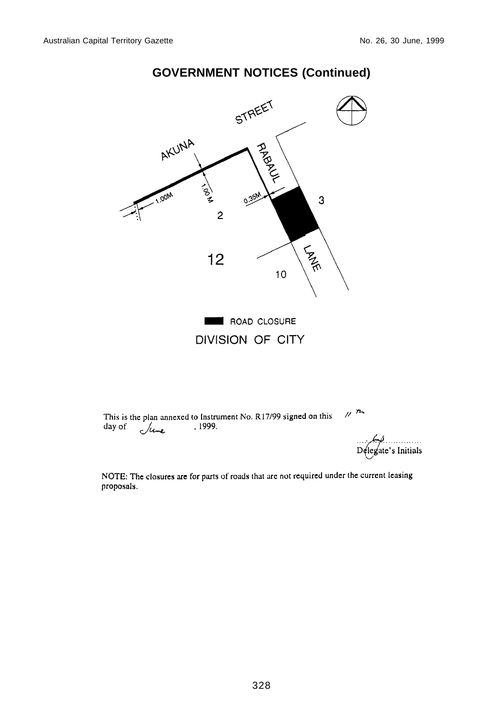

DIVISION OF CITY

 $\mu$  m This is the plan annexed to Instrument No. R17/99 signed on this day of June , 1999.

 $D$ elegate's Initials

NOTE: The closures are for parts of roads that are not required under the current leasing proposals.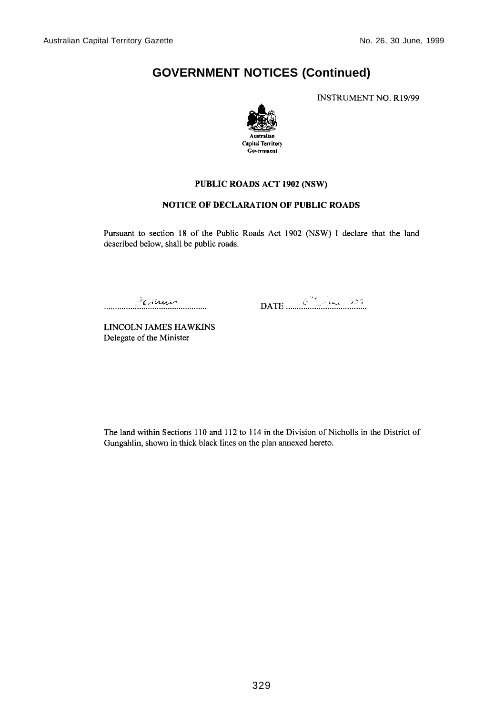**INSTRUMENT NO. R19/99** 



#### PUBLIC ROADS ACT 1902 (NSW)

#### NOTICE OF DECLARATION OF PUBLIC ROADS

Pursuant to section 18 of the Public Roads Act 1902 (NSW) I declare that the land described below, shall be public roads.

Fermin . . . . . . . . . . . . . . . . . . . . . .

LINCOLN JAMES HAWKINS Delegate of the Minister

The land within Sections 110 and 112 to 114 in the Division of Nicholls in the District of Gungahlin, shown in thick black lines on the plan annexed hereto.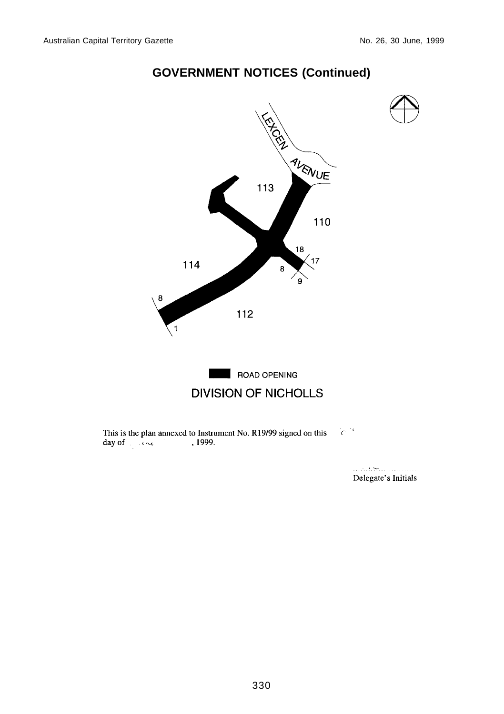

 $^{\prime}c^{\prime\prime\prime}$ This is the plan annexed to Instrument No. R19/99 signed on this , 1999. day of  $\sim$ 

> Delegate's Initials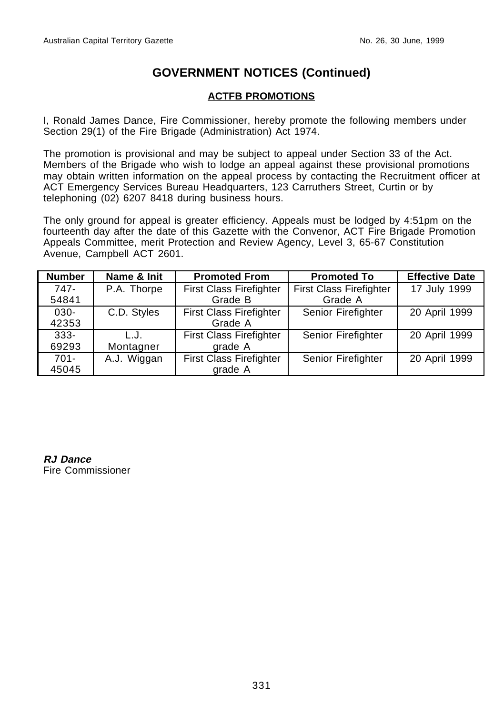### **ACTFB PROMOTIONS**

I, Ronald James Dance, Fire Commissioner, hereby promote the following members under Section 29(1) of the Fire Brigade (Administration) Act 1974.

The promotion is provisional and may be subject to appeal under Section 33 of the Act. Members of the Brigade who wish to lodge an appeal against these provisional promotions may obtain written information on the appeal process by contacting the Recruitment officer at ACT Emergency Services Bureau Headquarters, 123 Carruthers Street, Curtin or by telephoning (02) 6207 8418 during business hours.

The only ground for appeal is greater efficiency. Appeals must be lodged by 4:51pm on the fourteenth day after the date of this Gazette with the Convenor, ACT Fire Brigade Promotion Appeals Committee, merit Protection and Review Agency, Level 3, 65-67 Constitution Avenue, Campbell ACT 2601.

| <b>Number</b> | Name & Init | <b>Promoted From</b>           | <b>Promoted To</b>             | <b>Effective Date</b> |
|---------------|-------------|--------------------------------|--------------------------------|-----------------------|
| 747-          | P.A. Thorpe | <b>First Class Firefighter</b> | <b>First Class Firefighter</b> | 17 July 1999          |
| 54841         |             | Grade B                        | Grade A                        |                       |
| $030 -$       | C.D. Styles | <b>First Class Firefighter</b> | Senior Firefighter             | 20 April 1999         |
| 42353         |             | Grade A                        |                                |                       |
| $333 -$       | L.J.        | <b>First Class Firefighter</b> | Senior Firefighter             | 20 April 1999         |
| 69293         | Montagner   | grade A                        |                                |                       |
| $701 -$       | A.J. Wiggan | <b>First Class Firefighter</b> | Senior Firefighter             | 20 April 1999         |
| 45045         |             | grade A                        |                                |                       |

**RJ Dance** Fire Commissioner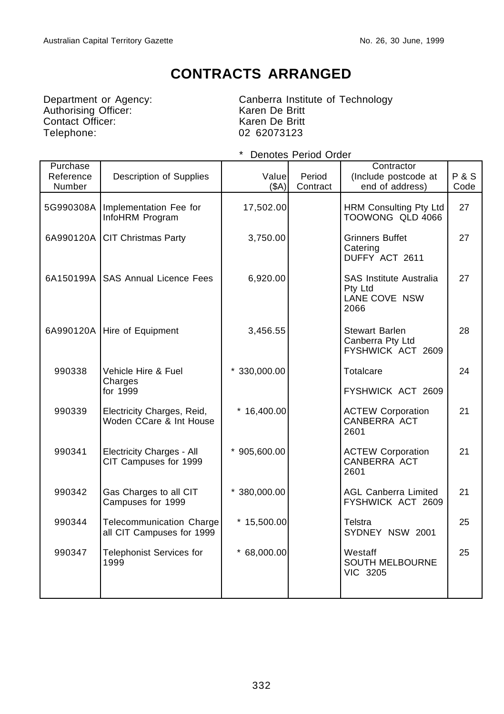# **CONTRACTS ARRANGED**

Authorising Officer: Karen De Britt Contact Officer: We are a Karen De Britt Telephone: 02 62073123

Department or Agency: Canberra Institute of Technology

| Purchase<br>Reference<br>Number | Description of Supplies                               | Value<br>(SA)  | Period<br>Contract | Contractor<br>(Include postcode at<br>end of address)              | <b>P&amp;S</b><br>Code |
|---------------------------------|-------------------------------------------------------|----------------|--------------------|--------------------------------------------------------------------|------------------------|
| 5G990308A                       | Implementation Fee for<br>InfoHRM Program             | 17,502.00      |                    | HRM Consulting Pty Ltd<br>TOOWONG QLD 4066                         | 27                     |
| 6A990120A                       | <b>CIT Christmas Party</b>                            | 3,750.00       |                    | <b>Grinners Buffet</b><br>Catering<br>DUFFY ACT 2611               | 27                     |
|                                 | 6A150199A SAS Annual Licence Fees                     | 6,920.00       |                    | <b>SAS Institute Australia</b><br>Pty Ltd<br>LANE COVE NSW<br>2066 | 27                     |
|                                 | 6A990120A Hire of Equipment                           | 3,456.55       |                    | <b>Stewart Barlen</b><br>Canberra Pty Ltd<br>FYSHWICK ACT 2609     | 28                     |
| 990338                          | Vehicle Hire & Fuel<br>Charges<br>for 1999            | $*330,000.00$  |                    | Totalcare<br>FYSHWICK ACT 2609                                     | 24                     |
| 990339                          | Electricity Charges, Reid,<br>Woden CCare & Int House | *<br>16,400.00 |                    | <b>ACTEW Corporation</b><br>CANBERRA ACT<br>2601                   | 21                     |
| 990341                          | Electricity Charges - All<br>CIT Campuses for 1999    | $*905,600.00$  |                    | <b>ACTEW Corporation</b><br>CANBERRA ACT<br>2601                   | 21                     |
| 990342                          | Gas Charges to all CIT<br>Campuses for 1999           | $*380,000.00$  |                    | AGL Canberra Limited<br>FYSHWICK ACT 2609                          | 21                     |
| 990344                          | Telecommunication Charge<br>all CIT Campuses for 1999 | $*15,500.00$   |                    | Telstra<br>SYDNEY NSW 2001                                         | 25                     |
| 990347                          | Telephonist Services for<br>1999                      | $* 68,000.00$  |                    | Westaff<br><b>SOUTH MELBOURNE</b><br>VIC 3205                      | 25                     |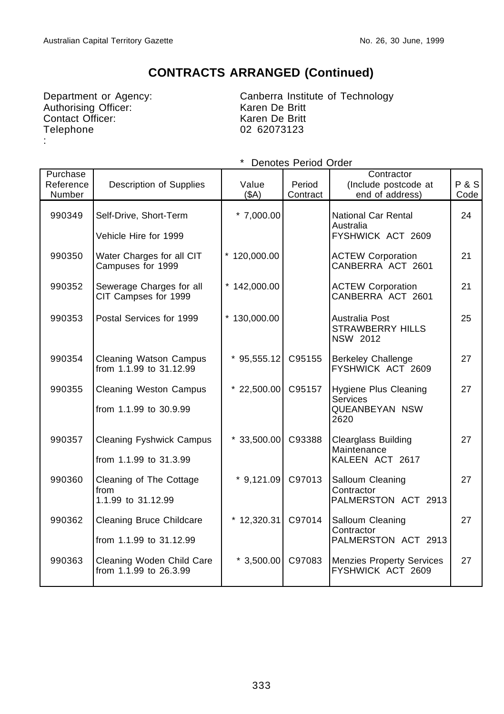Authorising Officer: Karen De Britt<br>
Contact Officer: Karen De Britt Contact Officer: Telephone :

Department or Agency: Canberra Institute of Technology 02 62073123

| Purchase<br>Reference<br>Number | Description of Supplies                                    | Value<br>(SA)  | Period<br>Contract | Contractor<br>(Include postcode at<br>end of address)              | <b>P&amp;S</b><br>Code |
|---------------------------------|------------------------------------------------------------|----------------|--------------------|--------------------------------------------------------------------|------------------------|
| 990349                          | Self-Drive, Short-Term                                     | $*7,000.00$    |                    | National Car Rental<br>Australia                                   | 24                     |
|                                 | Vehicle Hire for 1999                                      |                |                    | FYSHWICK ACT 2609                                                  |                        |
| 990350                          | Water Charges for all CIT<br>Campuses for 1999             | $*120,000.00$  |                    | <b>ACTEW Corporation</b><br>CANBERRA ACT 2601                      | 21                     |
| 990352                          | Sewerage Charges for all<br>CIT Campses for 1999           | $*$ 142,000.00 |                    | <b>ACTEW Corporation</b><br>CANBERRA ACT 2601                      | 21                     |
| 990353                          | Postal Services for 1999                                   | $*130,000.00$  |                    | Australia Post<br><b>STRAWBERRY HILLS</b><br>NSW 2012              | 25                     |
| 990354                          | <b>Cleaning Watson Campus</b><br>from 1.1.99 to 31.12.99   | $*95,555.12$   | C95155             | <b>Berkeley Challenge</b><br>FYSHWICK ACT 2609                     | 27                     |
| 990355                          | <b>Cleaning Weston Campus</b><br>from 1.1.99 to 30.9.99    | $*$ 22,500.00  | C95157             | Hygiene Plus Cleaning<br><b>Services</b><br>QUEANBEYAN NSW<br>2620 | 27                     |
| 990357                          | <b>Cleaning Fyshwick Campus</b><br>from 1.1.99 to 31.3.99  | $*33,500.00$   | C93388             | <b>Clearglass Building</b><br>Maintenance<br>KALEEN ACT 2617       | 27                     |
| 990360                          | Cleaning of The Cottage<br>from<br>1.1.99 to 31.12.99      | $*$ 9,121.09   | C97013             | Salloum Cleaning<br>Contractor<br>PALMERSTON ACT 2913              | 27                     |
| 990362                          | <b>Cleaning Bruce Childcare</b><br>from 1.1.99 to 31.12.99 | 12,320.31      | C97014             | Salloum Cleaning<br>Contractor<br>PALMERSTON ACT 2913              | 27                     |
| 990363                          | Cleaning Woden Child Care<br>from 1.1.99 to 26.3.99        | $*3,500.00$    | C97083             | <b>Menzies Property Services</b><br>FYSHWICK ACT 2609              | 27                     |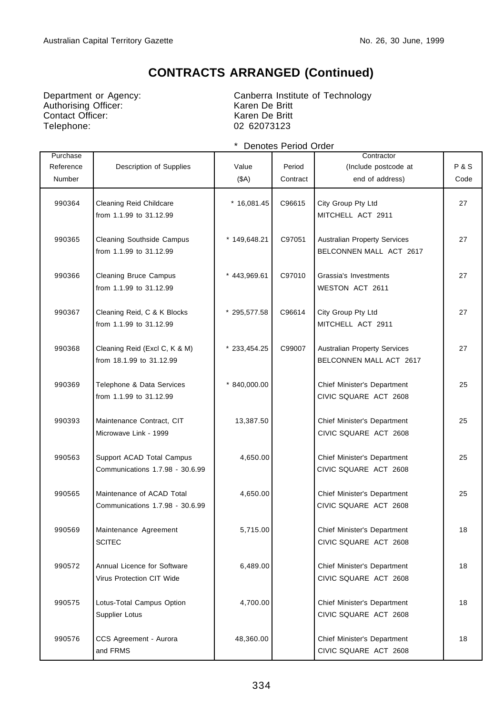Department or Agency:<br>
Authorising Officer:<br>
Contact Officer:<br>
Contact Officer:<br>
Karen De Britt Contact Officer: Telephone: 02 62073123

Canberra Institute of Technology<br>Karen De Britt

| Purchase<br>Reference<br><b>Number</b> | Description of Supplies                                      | Value<br>(SA)  | Period<br>Contract | Contractor<br>(Include postcode at<br>end of address)          | <b>P&amp;S</b><br>Code |
|----------------------------------------|--------------------------------------------------------------|----------------|--------------------|----------------------------------------------------------------|------------------------|
| 990364                                 | Cleaning Reid Childcare<br>from 1.1.99 to 31.12.99           | $*16,081.45$   | C96615             | City Group Pty Ltd<br>MITCHELL ACT 2911                        | 27                     |
| 990365                                 | <b>Cleaning Southside Campus</b><br>from 1.1.99 to 31.12.99  | * 149,648.21   | C97051             | <b>Australian Property Services</b><br>BELCONNEN MALL ACT 2617 | 27                     |
| 990366                                 | <b>Cleaning Bruce Campus</b><br>from 1.1.99 to 31.12.99      | * 443,969.61   | C97010             | Grassia's Investments<br>WESTON ACT 2611                       | 27                     |
| 990367                                 | Cleaning Reid, C & K Blocks<br>from 1.1.99 to 31.12.99       | * 295,577.58   | C96614             | City Group Pty Ltd<br>MITCHELL ACT 2911                        | 27                     |
| 990368                                 | Cleaning Reid (Excl C, K & M)<br>from 18.1.99 to 31.12.99    | $*$ 233,454.25 | C99007             | <b>Australian Property Services</b><br>BELCONNEN MALL ACT 2617 | 27                     |
| 990369                                 | Telephone & Data Services<br>from 1.1.99 to 31.12.99         | $*840,000.00$  |                    | Chief Minister's Department<br>CIVIC SQUARE ACT 2608           | 25                     |
| 990393                                 | Maintenance Contract, CIT<br>Microwave Link - 1999           | 13,387.50      |                    | Chief Minister's Department<br>CIVIC SQUARE ACT 2608           | 25                     |
| 990563                                 | Support ACAD Total Campus<br>Communications 1.7.98 - 30.6.99 | 4,650.00       |                    | Chief Minister's Department<br>CIVIC SQUARE ACT 2608           | 25                     |
| 990565                                 | Maintenance of ACAD Total<br>Communications 1.7.98 - 30.6.99 | 4,650.00       |                    | Chief Minister's Department<br>CIVIC SQUARE ACT 2608           | 25                     |
| 990569                                 | Maintenance Agreement<br><b>SCITEC</b>                       | 5,715.00       |                    | Chief Minister's Department<br>CIVIC SQUARE ACT 2608           | 18                     |
| 990572                                 | Annual Licence for Software<br>Virus Protection CIT Wide     | 6,489.00       |                    | Chief Minister's Department<br>CIVIC SQUARE ACT 2608           | 18                     |
| 990575                                 | Lotus-Total Campus Option<br>Supplier Lotus                  | 4,700.00       |                    | Chief Minister's Department<br>CIVIC SQUARE ACT 2608           | 18                     |
| 990576                                 | CCS Agreement - Aurora<br>and FRMS                           | 48,360.00      |                    | Chief Minister's Department<br>CIVIC SQUARE ACT 2608           | 18                     |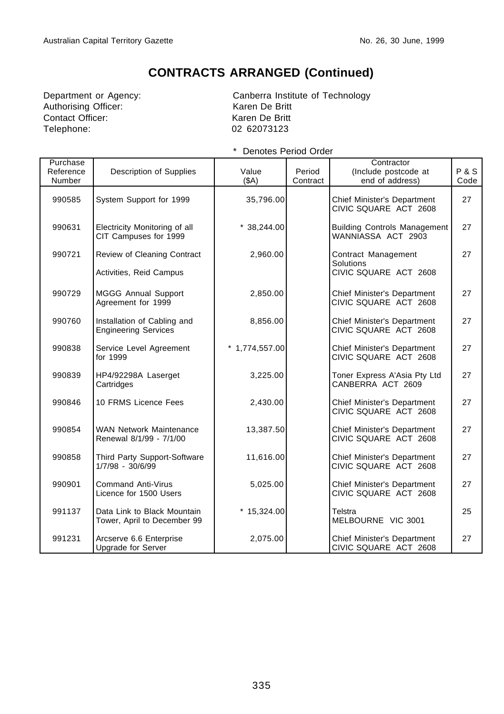Authorising Officer: Karen De Britt Contact Officer: Karen De Britt Telephone: 02 62073123

Department or Agency: Canberra Institute of Technology

| Purchase<br>Reference<br>Number | Description of Supplies                                    | Value<br>(SA)    | Period<br>Contract | Contractor<br>(Include postcode at<br>end of address)     | P&S<br>Code |
|---------------------------------|------------------------------------------------------------|------------------|--------------------|-----------------------------------------------------------|-------------|
| 990585                          | System Support for 1999                                    | 35,796.00        |                    | Chief Minister's Department<br>CIVIC SQUARE ACT 2608      | 27          |
| 990631                          | Electricity Monitoring of all<br>CIT Campuses for 1999     | $*38,244.00$     |                    | <b>Building Controls Management</b><br>WANNIASSA ACT 2903 | 27          |
| 990721                          | Review of Cleaning Contract                                | 2,960.00         |                    | Contract Management<br>Solutions                          | 27          |
|                                 | Activities, Reid Campus                                    |                  |                    | CIVIC SQUARE ACT 2608                                     |             |
| 990729                          | <b>MGGG Annual Support</b><br>Agreement for 1999           | 2,850.00         |                    | Chief Minister's Department<br>CIVIC SQUARE ACT 2608      | 27          |
| 990760                          | Installation of Cabling and<br><b>Engineering Services</b> | 8,856.00         |                    | Chief Minister's Department<br>CIVIC SQUARE ACT 2608      | 27          |
| 990838                          | Service Level Agreement<br>for 1999                        | $*$ 1,774,557.00 |                    | Chief Minister's Department<br>CIVIC SQUARE ACT 2608      | 27          |
| 990839                          | HP4/92298A Laserget<br>Cartridges                          | 3,225.00         |                    | Toner Express A'Asia Pty Ltd<br>CANBERRA ACT 2609         | 27          |
| 990846                          | 10 FRMS Licence Fees                                       | 2,430.00         |                    | Chief Minister's Department<br>CIVIC SQUARE ACT 2608      | 27          |
| 990854                          | <b>WAN Network Maintenance</b><br>Renewal 8/1/99 - 7/1/00  | 13,387.50        |                    | Chief Minister's Department<br>CIVIC SQUARE ACT 2608      | 27          |
| 990858                          | Third Party Support-Software<br>1/7/98 - 30/6/99           | 11,616.00        |                    | Chief Minister's Department<br>CIVIC SQUARE ACT 2608      | 27          |
| 990901                          | <b>Command Anti-Virus</b><br>Licence for 1500 Users        | 5,025.00         |                    | Chief Minister's Department<br>CIVIC SQUARE ACT 2608      | 27          |
| 991137                          | Data Link to Black Mountain<br>Tower, April to December 99 | $*15,324.00$     |                    | Telstra<br>MELBOURNE VIC 3001                             | 25          |
| 991231                          | Arcserve 6.6 Enterprise<br>Upgrade for Server              | 2,075.00         |                    | Chief Minister's Department<br>CIVIC SQUARE ACT 2608      | 27          |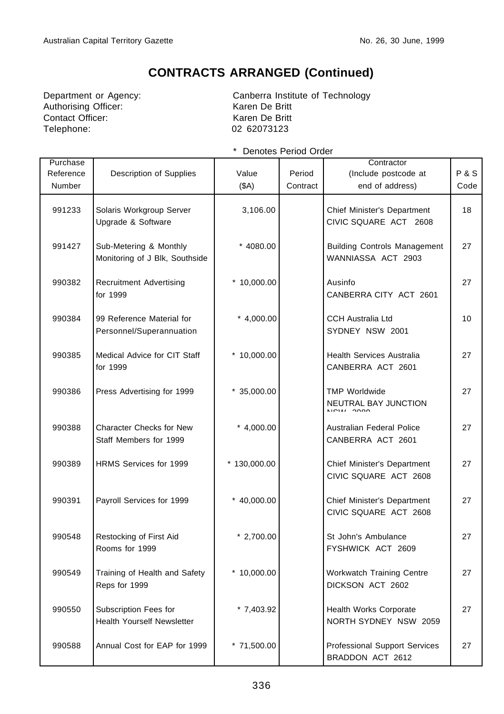Authorising Officer: Karen De Britt Contact Officer: Karen De Britt Telephone: 02 62073123

Department or Agency: Canberra Institute of Technology

| Purchase<br>Reference<br>Number | Description of Supplies                                    | Value<br>(\$A) | Period<br>Contract | Contractor<br>(Include postcode at<br>end of address)     | P & S<br>Code |
|---------------------------------|------------------------------------------------------------|----------------|--------------------|-----------------------------------------------------------|---------------|
| 991233                          | Solaris Workgroup Server<br>Upgrade & Software             | 3,106.00       |                    | Chief Minister's Department<br>CIVIC SQUARE ACT 2608      | 18            |
| 991427                          | Sub-Metering & Monthly<br>Monitoring of J Blk, Southside   | * 4080.00      |                    | <b>Building Controls Management</b><br>WANNIASSA ACT 2903 | 27            |
| 990382                          | <b>Recruitment Advertising</b><br>for 1999                 | $*10,000.00$   |                    | Ausinfo<br>CANBERRA CITY ACT 2601                         | 27            |
| 990384                          | 99 Reference Material for<br>Personnel/Superannuation      | $*$ 4,000.00   |                    | <b>CCH Australia Ltd</b><br>SYDNEY NSW 2001               | 10            |
| 990385                          | Medical Advice for CIT Staff<br>for 1999                   | $*10,000.00$   |                    | <b>Health Services Australia</b><br>CANBERRA ACT 2601     | 27            |
| 990386                          | Press Advertising for 1999                                 | $*35,000.00$   |                    | <b>TMP Worldwide</b><br>NEUTRAL BAY JUNCTION              | 27            |
| 990388                          | <b>Character Checks for New</b><br>Staff Members for 1999  | $*$ 4,000.00   |                    | Australian Federal Police<br>CANBERRA ACT 2601            | 27            |
| 990389                          | HRMS Services for 1999                                     | $*130,000.00$  |                    | Chief Minister's Department<br>CIVIC SQUARE ACT 2608      | 27            |
| 990391                          | Payroll Services for 1999                                  | $*$ 40,000.00  |                    | Chief Minister's Department<br>CIVIC SQUARE ACT 2608      | 27            |
| 990548                          | Restocking of First Aid<br>Rooms for 1999                  | $*$ 2,700.00   |                    | St John's Ambulance<br>FYSHWICK ACT 2609                  | 27            |
| 990549                          | Training of Health and Safety<br>Reps for 1999             | $*10,000.00$   |                    | <b>Workwatch Training Centre</b><br>DICKSON ACT 2602      | 27            |
| 990550                          | Subscription Fees for<br><b>Health Yourself Newsletter</b> | $*7,403.92$    |                    | Health Works Corporate<br>NORTH SYDNEY NSW 2059           | 27            |
| 990588                          | Annual Cost for EAP for 1999                               | $*71,500.00$   |                    | Professional Support Services<br>BRADDON ACT 2612         | 27            |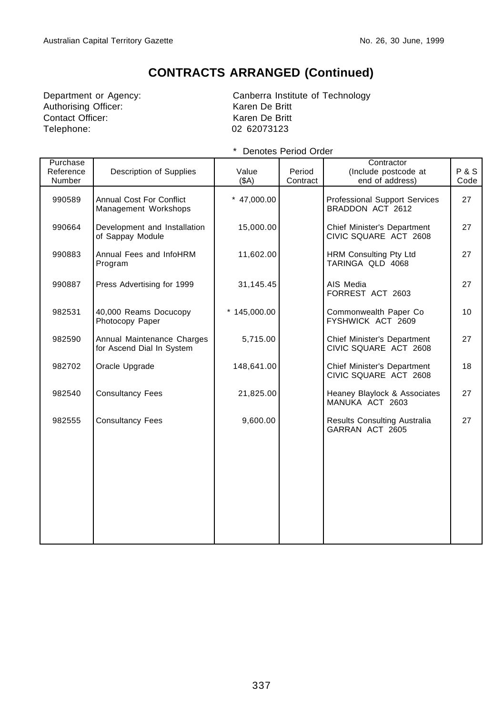Authorising Officer: Contact Officer: Karen De Britt Telephone: 02 62073123

Department or Agency:<br>
Authorising Officer:<br>
Canberra Institute of Technology<br>
Karen De Britt

| Purchase<br>Reference<br>Number | Description of Supplies                                 | Value<br>(SA) | Period<br>Contract | Contractor<br>(Include postcode at<br>end of address)    | P&S<br>Code |
|---------------------------------|---------------------------------------------------------|---------------|--------------------|----------------------------------------------------------|-------------|
| 990589                          | <b>Annual Cost For Conflict</b><br>Management Workshops | $*$ 47,000.00 |                    | <b>Professional Support Services</b><br>BRADDON ACT 2612 | 27          |
| 990664                          | Development and Installation<br>of Sappay Module        | 15,000.00     |                    | Chief Minister's Department<br>CIVIC SQUARE ACT 2608     | 27          |
| 990883                          | Annual Fees and InfoHRM<br>Program                      | 11,602.00     |                    | <b>HRM Consulting Pty Ltd</b><br>TARINGA QLD 4068        | 27          |
| 990887                          | Press Advertising for 1999                              | 31,145.45     |                    | AIS Media<br>FORREST ACT 2603                            | 27          |
| 982531                          | 40,000 Reams Docucopy<br>Photocopy Paper                | $*145,000.00$ |                    | Commonwealth Paper Co<br>FYSHWICK ACT 2609               | 10          |
| 982590                          | Annual Maintenance Charges<br>for Ascend Dial In System | 5,715.00      |                    | Chief Minister's Department<br>CIVIC SQUARE ACT 2608     | 27          |
| 982702                          | Oracle Upgrade                                          | 148,641.00    |                    | Chief Minister's Department<br>CIVIC SQUARE ACT 2608     | 18          |
| 982540                          | <b>Consultancy Fees</b>                                 | 21,825.00     |                    | Heaney Blaylock & Associates<br>MANUKA ACT 2603          | 27          |
| 982555                          | <b>Consultancy Fees</b>                                 | 9,600.00      |                    | Results Consulting Australia<br>GARRAN ACT 2605          | 27          |
|                                 |                                                         |               |                    |                                                          |             |
|                                 |                                                         |               |                    |                                                          |             |
|                                 |                                                         |               |                    |                                                          |             |
|                                 |                                                         |               |                    |                                                          |             |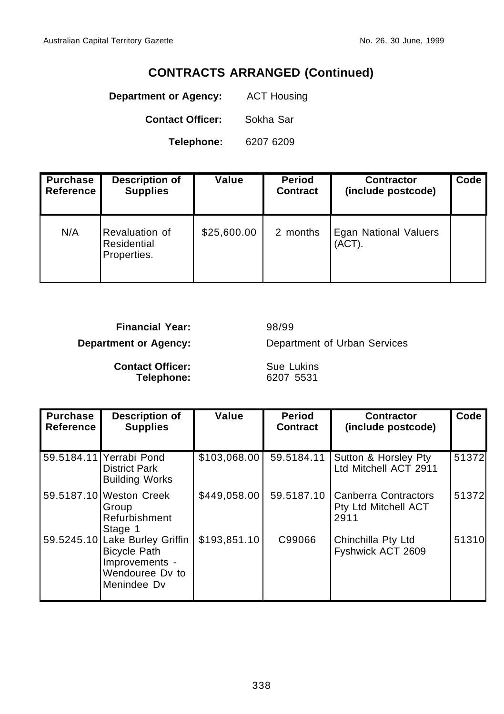**Department or Agency:** ACT Housing

**Contact Officer:** Sokha Sar

**Telephone:** 6207 6209

| <b>Purchase</b><br><b>Reference</b> | <b>Description of</b><br><b>Supplies</b>     | Value       | <b>Period</b><br><b>Contract</b> | <b>Contractor</b><br>(include postcode) | Code |
|-------------------------------------|----------------------------------------------|-------------|----------------------------------|-----------------------------------------|------|
| N/A                                 | Revaluation of<br>Residential<br>Properties. | \$25,600.00 | 2 months                         | Egan National Valuers<br>(ACT).         |      |

**Financial Year:** 98/99

**Department or Agency:** Department of Urban Services

**Contact Officer:** Sue Lukins **Telephone:** 6207 5531

| <b>Purchase</b><br>Reference | <b>Description of</b><br><b>Supplies</b>                                                                  | Value        | <b>Period</b><br><b>Contract</b> | <b>Contractor</b><br>(include postcode)              | Code  |
|------------------------------|-----------------------------------------------------------------------------------------------------------|--------------|----------------------------------|------------------------------------------------------|-------|
|                              | 59.5184.11 Yerrabi Pond<br><b>District Park</b><br><b>Building Works</b>                                  | \$103,068.00 | 59.5184.11                       | Sutton & Horsley Pty<br>Ltd Mitchell ACT 2911        | 51372 |
|                              | 59.5187.10 Weston Creek<br>Group<br>Refurbishment<br>Stage 1                                              | \$449,058.00 | 59.5187.10                       | Canberra Contractors<br>Pty Ltd Mitchell ACT<br>2911 | 51372 |
|                              | 59.5245.10 Lake Burley Griffin<br><b>Bicycle Path</b><br>Improvements -<br>Wendouree Dy to<br>Menindee Dv | \$193,851.10 | C99066                           | Chinchilla Pty Ltd<br>Fyshwick ACT 2609              | 51310 |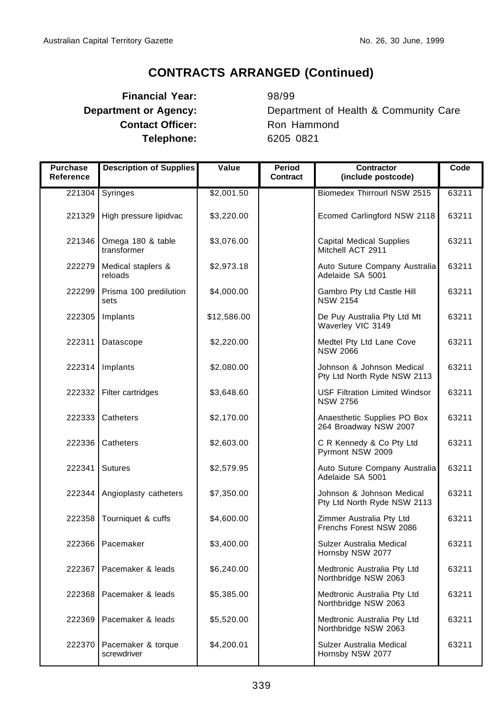# **Financial Year:** 98/99 **Contact Officer:** Ron Hammond **Telephone:** 6205 0821

**Department or Agency:** Department of Health & Community Care

| <b>Purchase</b><br>Reference | <b>Description of Supplies</b>    | Value       | Period<br>Contract | <b>Contractor</b><br>(include postcode)                  | Code  |
|------------------------------|-----------------------------------|-------------|--------------------|----------------------------------------------------------|-------|
| 221304                       | Syringes                          | \$2,001.50  |                    | Biomedex Thirrourl NSW 2515                              | 63211 |
| 221329                       | High pressure lipidvac            | \$3,220.00  |                    | Ecomed Carlingford NSW 2118                              | 63211 |
| 221346                       | Omega 180 & table<br>transformer  | \$3,076.00  |                    | <b>Capital Medical Supplies</b><br>Mitchell ACT 2911     | 63211 |
| 222279                       | Medical staplers &<br>reloads     | \$2,973.18  |                    | Auto Suture Company Australia<br>Adelaide SA 5001        | 63211 |
| 222299                       | Prisma 100 predilution<br>sets    | \$4,000.00  |                    | Gambro Pty Ltd Castle Hill<br><b>NSW 2154</b>            | 63211 |
| 222305                       | Implants                          | \$12,586.00 |                    | De Puy Australia Pty Ltd Mt<br>Waverley VIC 3149         | 63211 |
| 222311                       | Datascope                         | \$2,220.00  |                    | Medtel Pty Ltd Lane Cove<br><b>NSW 2066</b>              | 63211 |
| 222314                       | Implants                          | \$2,080.00  |                    | Johnson & Johnson Medical<br>Pty Ltd North Ryde NSW 2113 | 63211 |
| 222332                       | Filter cartridges                 | \$3,648.60  |                    | <b>USF Filtration Limited Windsor</b><br><b>NSW 2756</b> | 63211 |
| 222333                       | Catheters                         | \$2,170.00  |                    | Anaesthetic Supplies PO Box<br>264 Broadway NSW 2007     | 63211 |
| 222336                       | Catheters                         | \$2,603.00  |                    | C R Kennedy & Co Pty Ltd<br>Pyrmont NSW 2009             | 63211 |
| 222341                       | <b>Sutures</b>                    | \$2,579.95  |                    | Auto Suture Company Australia<br>Adelaide SA 5001        | 63211 |
| 222344                       | Angioplasty catheters             | \$7,350.00  |                    | Johnson & Johnson Medical<br>Pty Ltd North Ryde NSW 2113 | 63211 |
| 222358                       | Tourniquet & cuffs                | \$4,600.00  |                    | Zimmer Australia Pty Ltd<br>Frenchs Forest NSW 2086      | 63211 |
| 222366                       | Pacemaker                         | \$3,400.00  |                    | Sulzer Australia Medical<br>Hornsby NSW 2077             | 63211 |
| 222367                       | Pacemaker & leads                 | \$6,240.00  |                    | Medtronic Australia Pty Ltd<br>Northbridge NSW 2063      | 63211 |
| 222368                       | Pacemaker & leads                 | \$5,385.00  |                    | Medtronic Australia Pty Ltd<br>Northbridge NSW 2063      | 63211 |
| 222369                       | Pacemaker & leads                 | \$5,520.00  |                    | Medtronic Australia Pty Ltd<br>Northbridge NSW 2063      | 63211 |
| 222370                       | Pacemaker & torque<br>screwdriver | \$4,200.01  |                    | Sulzer Australia Medical<br>Hornsby NSW 2077             | 63211 |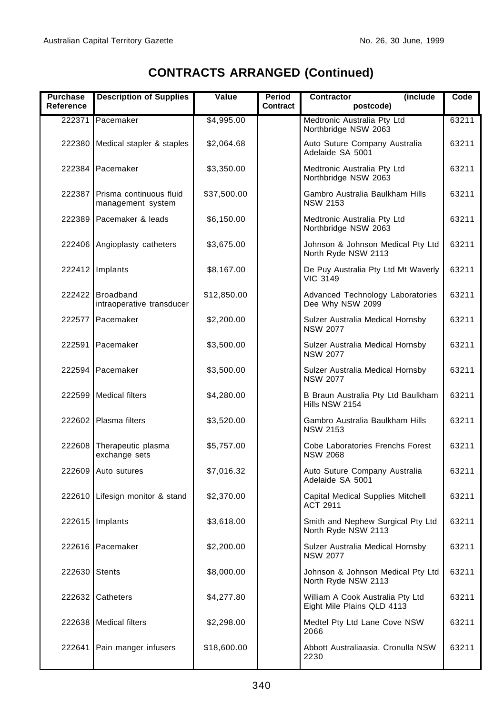| <b>Purchase</b><br>Reference | <b>Description of Supplies</b>                      | Value       | <b>Period</b><br>Contract | (include<br><b>Contractor</b><br>postcode)                     | Code  |
|------------------------------|-----------------------------------------------------|-------------|---------------------------|----------------------------------------------------------------|-------|
|                              | 222371 Pacemaker                                    | \$4,995.00  |                           | Medtronic Australia Pty Ltd                                    | 63211 |
|                              |                                                     |             |                           | Northbridge NSW 2063                                           |       |
|                              | 222380 Medical stapler & staples                    | \$2,064.68  |                           | Auto Suture Company Australia<br>Adelaide SA 5001              | 63211 |
|                              | 222384 Pacemaker                                    | \$3,350.00  |                           | Medtronic Australia Pty Ltd<br>Northbridge NSW 2063            | 63211 |
|                              | 222387 Prisma continuous fluid<br>management system | \$37,500.00 |                           | Gambro Australia Baulkham Hills<br><b>NSW 2153</b>             | 63211 |
|                              | 222389 Pacemaker & leads                            | \$6,150.00  |                           | Medtronic Australia Pty Ltd<br>Northbridge NSW 2063            | 63211 |
|                              | 222406 Angioplasty catheters                        | \$3,675.00  |                           | Johnson & Johnson Medical Pty Ltd<br>North Ryde NSW 2113       | 63211 |
|                              | 222412 Implants                                     | \$8,167.00  |                           | De Puy Australia Pty Ltd Mt Waverly<br><b>VIC 3149</b>         | 63211 |
|                              | 222422 Broadband<br>intraoperative transducer       | \$12,850.00 |                           | Advanced Technology Laboratories<br>Dee Why NSW 2099           | 63211 |
|                              | 222577 Pacemaker                                    | \$2,200.00  |                           | Sulzer Australia Medical Hornsby<br><b>NSW 2077</b>            | 63211 |
|                              | 222591 Pacemaker                                    | \$3,500.00  |                           | Sulzer Australia Medical Hornsby<br><b>NSW 2077</b>            | 63211 |
|                              | 222594 Pacemaker                                    | \$3,500.00  |                           | Sulzer Australia Medical Hornsby<br><b>NSW 2077</b>            | 63211 |
|                              | 222599 Medical filters                              | \$4,280.00  |                           | B Braun Australia Pty Ltd Baulkham<br>Hills NSW 2154           | 63211 |
|                              | 222602 Plasma filters                               | \$3,520.00  |                           | Gambro Australia Baulkham Hills<br><b>NSW 2153</b>             | 63211 |
| 222608                       | Therapeutic plasma<br>exchange sets                 | \$5,757.00  |                           | Cobe Laboratories Frenchs Forest<br><b>NSW 2068</b>            | 63211 |
|                              | 222609 Auto sutures                                 | \$7,016.32  |                           | Auto Suture Company Australia<br>Adelaide SA 5001              | 63211 |
|                              | 222610 Lifesign monitor & stand                     | \$2,370.00  |                           | Capital Medical Supplies Mitchell<br><b>ACT 2911</b>           | 63211 |
|                              | 222615 Implants                                     | \$3,618.00  |                           | Smith and Nephew Surgical Pty Ltd<br>North Ryde NSW 2113       | 63211 |
|                              | 222616 Pacemaker                                    | \$2,200.00  |                           | Sulzer Australia Medical Hornsby<br>NSW 2077                   | 63211 |
| 222630                       | <b>Stents</b>                                       | \$8,000.00  |                           | Johnson & Johnson Medical Pty Ltd<br>North Ryde NSW 2113       | 63211 |
|                              | 222632 Catheters                                    | \$4,277.80  |                           | William A Cook Australia Pty Ltd<br>Eight Mile Plains QLD 4113 | 63211 |
|                              | 222638 Medical filters                              | \$2,298.00  |                           | Medtel Pty Ltd Lane Cove NSW<br>2066                           | 63211 |
| 222641                       | Pain manger infusers                                | \$18,600.00 |                           | Abbott Australiaasia. Cronulla NSW<br>2230                     | 63211 |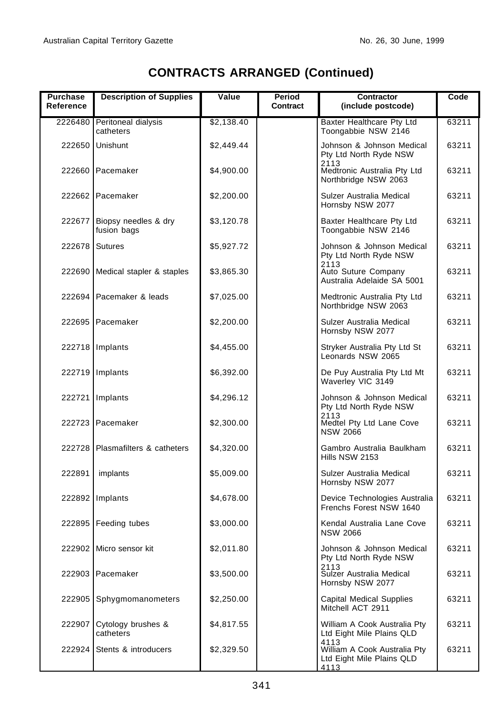| <b>Purchase</b><br>Reference | <b>Description of Supplies</b>           | Value      | Period<br>Contract | Contractor<br>(include postcode)                                          | Code  |
|------------------------------|------------------------------------------|------------|--------------------|---------------------------------------------------------------------------|-------|
|                              | 2226480 Peritoneal dialysis<br>catheters | \$2,138.40 |                    | Baxter Healthcare Pty Ltd<br>Toongabbie NSW 2146                          | 63211 |
| 222650                       | Unishunt                                 | \$2,449.44 |                    | Johnson & Johnson Medical<br>Pty Ltd North Ryde NSW<br>2113               | 63211 |
|                              | 222660 Pacemaker                         | \$4,900.00 |                    | Medtronic Australia Pty Ltd<br>Northbridge NSW 2063                       | 63211 |
|                              | 222662 Pacemaker                         | \$2,200.00 |                    | Sulzer Australia Medical<br>Hornsby NSW 2077                              | 63211 |
| 222677                       | Biopsy needles & dry<br>fusion bags      | \$3,120.78 |                    | Baxter Healthcare Pty Ltd<br>Toongabbie NSW 2146                          | 63211 |
| 222678                       | Sutures                                  | \$5,927.72 |                    | Johnson & Johnson Medical<br>Pty Ltd North Ryde NSW                       | 63211 |
| 222690                       | Medical stapler & staples                | \$3,865.30 |                    | 2113<br>Auto Suture Company<br>Australia Adelaide SA 5001                 | 63211 |
|                              | 222694 Pacemaker & leads                 | \$7,025.00 |                    | Medtronic Australia Pty Ltd<br>Northbridge NSW 2063                       | 63211 |
|                              | 222695 Pacemaker                         | \$2,200.00 |                    | Sulzer Australia Medical<br>Hornsby NSW 2077                              | 63211 |
| 222718                       | Implants                                 | \$4,455.00 |                    | Stryker Australia Pty Ltd St<br>Leonards NSW 2065                         | 63211 |
| 222719                       | Implants                                 | \$6,392.00 |                    | De Puy Australia Pty Ltd Mt<br>Waverley VIC 3149                          | 63211 |
| 222721                       | Implants                                 | \$4,296.12 |                    | Johnson & Johnson Medical<br>Pty Ltd North Ryde NSW                       | 63211 |
|                              | 222723 Pacemaker                         | \$2,300.00 |                    | 2113<br>Medtel Pty Ltd Lane Cove<br><b>NSW 2066</b>                       | 63211 |
| 222728                       | Plasmafilters & catheters                | \$4,320.00 |                    | Gambro Australia Baulkham<br>Hills NSW 2153                               | 63211 |
| 222891                       | implants                                 | \$5,009.00 |                    | Sulzer Australia Medical<br>Hornsby NSW 2077                              | 63211 |
|                              | 222892 Implants                          | \$4,678.00 |                    | Device Technologies Australia<br>Frenchs Forest NSW 1640                  | 63211 |
| 222895                       | Feeding tubes                            | \$3,000.00 |                    | Kendal Australia Lane Cove<br><b>NSW 2066</b>                             | 63211 |
|                              | 222902 Micro sensor kit                  | \$2,011.80 |                    | Johnson & Johnson Medical<br>Pty Ltd North Ryde NSW                       | 63211 |
|                              | 222903 Pacemaker                         | \$3,500.00 |                    | 2113<br>Sulzer Australia Medical<br>Hornsby NSW 2077                      | 63211 |
| 222905                       | Sphygmomanometers                        | \$2,250.00 |                    | <b>Capital Medical Supplies</b><br>Mitchell ACT 2911                      | 63211 |
| 222907                       | Cytology brushes &<br>catheters          | \$4,817.55 |                    | William A Cook Australia Pty<br>Ltd Eight Mile Plains QLD                 | 63211 |
| 222924                       | Stents & introducers                     | \$2,329.50 |                    | 4113<br>William A Cook Australia Pty<br>Ltd Eight Mile Plains QLD<br>4113 | 63211 |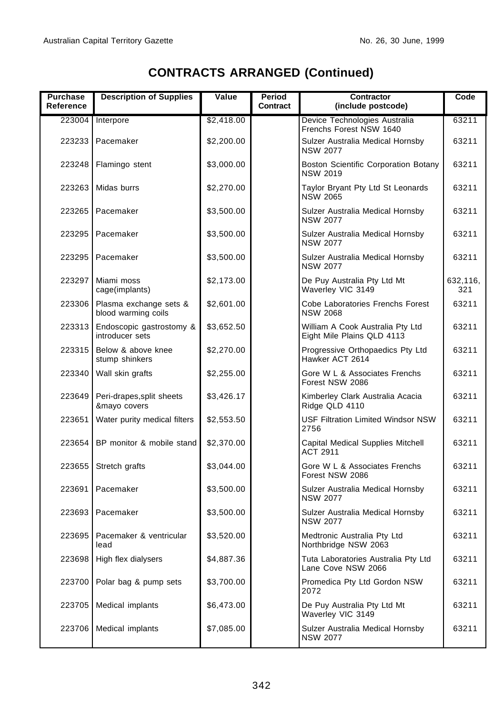| Purchase<br>Reference | <b>Description of Supplies</b>                | Value      | Period<br>Contract | Contractor<br>(include postcode)                               | Code            |
|-----------------------|-----------------------------------------------|------------|--------------------|----------------------------------------------------------------|-----------------|
| 223004                | Interpore                                     | \$2,418.00 |                    | Device Technologies Australia<br>Frenchs Forest NSW 1640       | 63211           |
|                       | 223233   Pacemaker                            | \$2,200.00 |                    | Sulzer Australia Medical Hornsby<br><b>NSW 2077</b>            | 63211           |
| 223248                | Flamingo stent                                | \$3,000.00 |                    | Boston Scientific Corporation Botany<br><b>NSW 2019</b>        | 63211           |
| 223263                | Midas burrs                                   | \$2,270.00 |                    | Taylor Bryant Pty Ltd St Leonards<br><b>NSW 2065</b>           | 63211           |
|                       | 223265 Pacemaker                              | \$3,500.00 |                    | Sulzer Australia Medical Hornsby<br><b>NSW 2077</b>            | 63211           |
|                       | 223295 Pacemaker                              | \$3,500.00 |                    | Sulzer Australia Medical Hornsby<br><b>NSW 2077</b>            | 63211           |
| 223295                | Pacemaker                                     | \$3,500.00 |                    | Sulzer Australia Medical Hornsby<br><b>NSW 2077</b>            | 63211           |
| 223297                | Miami moss<br>cage(implants)                  | \$2,173.00 |                    | De Puy Australia Pty Ltd Mt<br>Waverley VIC 3149               | 632,116,<br>321 |
| 223306                | Plasma exchange sets &<br>blood warming coils | \$2,601.00 |                    | Cobe Laboratories Frenchs Forest<br><b>NSW 2068</b>            | 63211           |
| 223313                | Endoscopic gastrostomy &<br>introducer sets   | \$3,652.50 |                    | William A Cook Australia Pty Ltd<br>Eight Mile Plains QLD 4113 | 63211           |
| 223315                | Below & above knee<br>stump shinkers          | \$2,270.00 |                    | Progressive Orthopaedics Pty Ltd<br>Hawker ACT 2614            | 63211           |
| 223340                | Wall skin grafts                              | \$2,255.00 |                    | Gore W L & Associates Frenchs<br>Forest NSW 2086               | 63211           |
| 223649                | Peri-drapes, split sheets<br>&mayo covers     | \$3,426.17 |                    | Kimberley Clark Australia Acacia<br>Ridge QLD 4110             | 63211           |
| 223651                | Water purity medical filters                  | \$2,553.50 |                    | <b>USF Filtration Limited Windsor NSW</b><br>2756              | 63211           |
| 223654                | BP monitor & mobile stand                     | \$2,370.00 |                    | Capital Medical Supplies Mitchell<br><b>ACT 2911</b>           | 63211           |
| 223655                | Stretch grafts                                | \$3,044.00 |                    | Gore W L & Associates Frenchs<br>Forest NSW 2086               | 63211           |
| 223691                | Pacemaker                                     | \$3,500.00 |                    | Sulzer Australia Medical Hornsby<br><b>NSW 2077</b>            | 63211           |
|                       | 223693 Pacemaker                              | \$3,500.00 |                    | Sulzer Australia Medical Hornsby<br><b>NSW 2077</b>            | 63211           |
| 223695                | Pacemaker & ventricular<br>lead               | \$3,520.00 |                    | Medtronic Australia Pty Ltd<br>Northbridge NSW 2063            | 63211           |
| 223698                | High flex dialysers                           | \$4,887.36 |                    | Tuta Laboratories Australia Pty Ltd<br>Lane Cove NSW 2066      | 63211           |
| 223700                | Polar bag & pump sets                         | \$3,700.00 |                    | Promedica Pty Ltd Gordon NSW<br>2072                           | 63211           |
| 223705                | Medical implants                              | \$6,473.00 |                    | De Puy Australia Pty Ltd Mt<br>Waverley VIC 3149               | 63211           |
| 223706                | Medical implants                              | \$7,085.00 |                    | Sulzer Australia Medical Hornsby<br><b>NSW 2077</b>            | 63211           |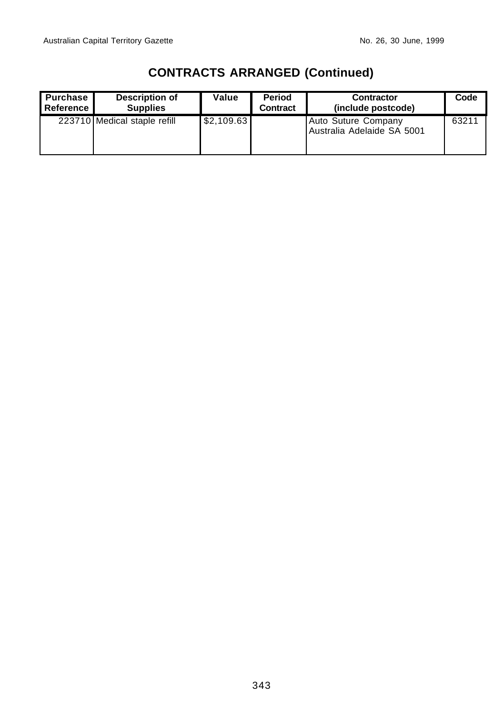| <b>Purchase</b><br>l Reference II | Description of<br><b>Supplies</b> | Value      | <b>Period</b><br><b>Contract</b> | <b>Contractor</b><br>(include postcode)           | Code  |
|-----------------------------------|-----------------------------------|------------|----------------------------------|---------------------------------------------------|-------|
|                                   | 223710 Medical staple refill      | \$2,109.63 |                                  | Auto Suture Company<br>Australia Adelaide SA 5001 | 63211 |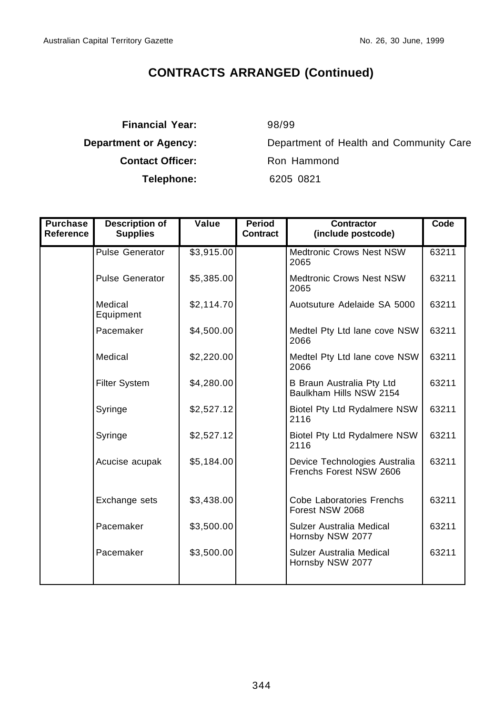**Financial Year:** 98/99 **Contact Officer:** Ron Hammond **Telephone:** 6205 0821

**Department or Agency:** Department of Health and Community Care

| <b>Purchase</b><br>Reference | <b>Description of</b><br><b>Supplies</b> | Value      | Period<br><b>Contract</b> | <b>Contractor</b><br>(include postcode)                  | Code  |
|------------------------------|------------------------------------------|------------|---------------------------|----------------------------------------------------------|-------|
|                              | <b>Pulse Generator</b>                   | \$3,915.00 |                           | <b>Medtronic Crows Nest NSW</b><br>2065                  | 63211 |
|                              | <b>Pulse Generator</b>                   | \$5,385.00 |                           | Medtronic Crows Nest NSW<br>2065                         | 63211 |
|                              | Medical<br>Equipment                     | \$2,114.70 |                           | Auotsuture Adelaide SA 5000                              | 63211 |
|                              | Pacemaker                                | \$4,500.00 |                           | Medtel Pty Ltd lane cove NSW<br>2066                     | 63211 |
|                              | Medical                                  | \$2,220.00 |                           | Medtel Pty Ltd lane cove NSW<br>2066                     | 63211 |
|                              | <b>Filter System</b>                     | \$4,280.00 |                           | B Braun Australia Pty Ltd<br>Baulkham Hills NSW 2154     | 63211 |
|                              | Syringe                                  | \$2,527.12 |                           | Biotel Pty Ltd Rydalmere NSW<br>2116                     | 63211 |
|                              | Syringe                                  | \$2,527.12 |                           | Biotel Pty Ltd Rydalmere NSW<br>2116                     | 63211 |
|                              | Acucise acupak                           | \$5,184.00 |                           | Device Technologies Australia<br>Frenchs Forest NSW 2606 | 63211 |
|                              | Exchange sets                            | \$3,438.00 |                           | Cobe Laboratories Frenchs<br>Forest NSW 2068             | 63211 |
|                              | Pacemaker                                | \$3,500.00 |                           | Sulzer Australia Medical<br>Hornsby NSW 2077             | 63211 |
|                              | Pacemaker                                | \$3,500.00 |                           | Sulzer Australia Medical<br>Hornsby NSW 2077             | 63211 |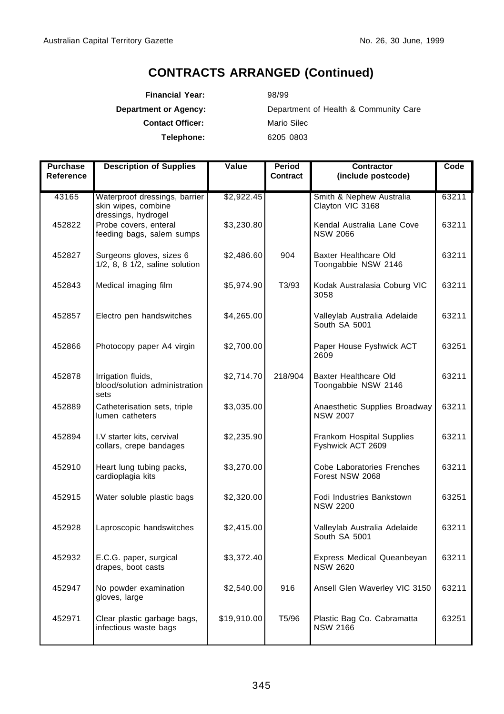**Financial Year:** 98/99 **Contact Officer:** Mario Silec **Telephone:** 6205 0803

**Department or Agency:** Department of Health & Community Care

| <b>Purchase</b><br>Reference | <b>Description of Supplies</b>                                              | Value       | Period<br>Contract | <b>Contractor</b><br>(include postcode)          | Code  |
|------------------------------|-----------------------------------------------------------------------------|-------------|--------------------|--------------------------------------------------|-------|
| 43165                        | Waterproof dressings, barrier<br>skin wipes, combine<br>dressings, hydrogel | \$2,922.45  |                    | Smith & Nephew Australia<br>Clayton VIC 3168     | 63211 |
| 452822                       | Probe covers, enteral<br>feeding bags, salem sumps                          | \$3,230.80  |                    | Kendal Australia Lane Cove<br><b>NSW 2066</b>    | 63211 |
| 452827                       | Surgeons gloves, sizes 6<br>$1/2$ , 8, 8 $1/2$ , saline solution            | \$2,486.60  | 904                | Baxter Healthcare Old<br>Toongabbie NSW 2146     | 63211 |
| 452843                       | Medical imaging film                                                        | \$5,974.90  | T3/93              | Kodak Australasia Coburg VIC<br>3058             | 63211 |
| 452857                       | Electro pen handswitches                                                    | \$4,265.00  |                    | Valleylab Australia Adelaide<br>South SA 5001    | 63211 |
| 452866                       | Photocopy paper A4 virgin                                                   | \$2,700.00  |                    | Paper House Fyshwick ACT<br>2609                 | 63251 |
| 452878                       | Irrigation fluids,<br>blood/solution administration<br>sets                 | \$2,714.70  | 218/904            | Baxter Healthcare Old<br>Toongabbie NSW 2146     | 63211 |
| 452889                       | Catheterisation sets, triple<br>lumen catheters                             | \$3,035.00  |                    | Anaesthetic Supplies Broadway<br><b>NSW 2007</b> | 63211 |
| 452894                       | I.V starter kits, cervival<br>collars, crepe bandages                       | \$2,235.90  |                    | Frankom Hospital Supplies<br>Fyshwick ACT 2609   | 63211 |
| 452910                       | Heart lung tubing packs,<br>cardioplagia kits                               | \$3,270.00  |                    | Cobe Laboratories Frenches<br>Forest NSW 2068    | 63211 |
| 452915                       | Water soluble plastic bags                                                  | \$2,320.00  |                    | Fodi Industries Bankstown<br><b>NSW 2200</b>     | 63251 |
| 452928                       | Laproscopic handswitches                                                    | \$2,415.00  |                    | Valleylab Australia Adelaide<br>South SA 5001    | 63211 |
| 452932                       | E.C.G. paper, surgical<br>drapes, boot casts                                | \$3,372.40  |                    | Express Medical Queanbeyan<br><b>NSW 2620</b>    | 63211 |
| 452947                       | No powder examination<br>gloves, large                                      | \$2,540.00  | 916                | Ansell Glen Waverley VIC 3150                    | 63211 |
| 452971                       | Clear plastic garbage bags,<br>infectious waste bags                        | \$19,910.00 | T <sub>5</sub> /96 | Plastic Bag Co. Cabramatta<br><b>NSW 2166</b>    | 63251 |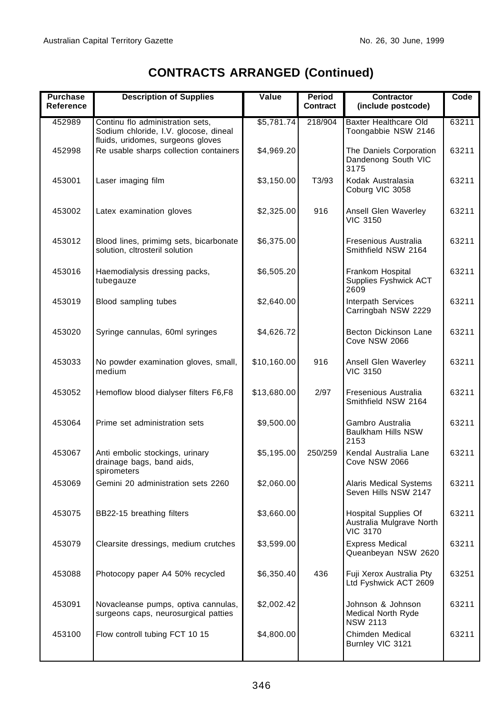| <b>Purchase</b><br>Reference | <b>Description of Supplies</b>                                                                                 | Value       | Period<br>Contract | Contractor<br>(include postcode)                                           | Code  |
|------------------------------|----------------------------------------------------------------------------------------------------------------|-------------|--------------------|----------------------------------------------------------------------------|-------|
| 452989                       | Continu flo administration sets,<br>Sodium chloride, I.V. glocose, dineal<br>fluids, uridomes, surgeons gloves | \$5,781.74  | 218/904            | Baxter Healthcare Old<br>Toongabbie NSW 2146                               | 63211 |
| 452998                       | Re usable sharps collection containers                                                                         | \$4,969.20  |                    | The Daniels Corporation<br>Dandenong South VIC<br>3175                     | 63211 |
| 453001                       | Laser imaging film                                                                                             | \$3,150.00  | T3/93              | Kodak Australasia<br>Coburg VIC 3058                                       | 63211 |
| 453002                       | Latex examination gloves                                                                                       | \$2,325.00  | 916                | Ansell Glen Waverley<br>VIC 3150                                           | 63211 |
| 453012                       | Blood lines, primimg sets, bicarbonate<br>solution, cltrosteril solution                                       | \$6,375.00  |                    | Fresenious Australia<br>Smithfield NSW 2164                                | 63211 |
| 453016                       | Haemodialysis dressing packs,<br>tubegauze                                                                     | \$6,505.20  |                    | Frankom Hospital<br>Supplies Fyshwick ACT<br>2609                          | 63211 |
| 453019                       | Blood sampling tubes                                                                                           | \$2,640.00  |                    | Interpath Services<br>Carringbah NSW 2229                                  | 63211 |
| 453020                       | Syringe cannulas, 60ml syringes                                                                                | \$4,626.72  |                    | Becton Dickinson Lane<br>Cove NSW 2066                                     | 63211 |
| 453033                       | No powder examination gloves, small,<br>medium                                                                 | \$10,160.00 | 916                | Ansell Glen Waverley<br><b>VIC 3150</b>                                    | 63211 |
| 453052                       | Hemoflow blood dialyser filters F6,F8                                                                          | \$13,680.00 | 2/97               | Fresenious Australia<br>Smithfield NSW 2164                                | 63211 |
| 453064                       | Prime set administration sets                                                                                  | \$9,500.00  |                    | Gambro Australia<br>Baulkham Hills NSW<br>2153                             | 63211 |
| 453067                       | Anti embolic stockings, urinary<br>drainage bags, band aids,<br>spirometers                                    | \$5,195.00  | 250/259            | Kendal Australia Lane<br>Cove NSW 2066                                     | 63211 |
| 453069                       | Gemini 20 administration sets 2260                                                                             | \$2,060.00  |                    | <b>Alaris Medical Systems</b><br>Seven Hills NSW 2147                      | 63211 |
| 453075                       | BB22-15 breathing filters                                                                                      | \$3,660.00  |                    | <b>Hospital Supplies Of</b><br>Australia Mulgrave North<br><b>VIC 3170</b> | 63211 |
| 453079                       | Clearsite dressings, medium crutches                                                                           | \$3,599.00  |                    | <b>Express Medical</b><br>Queanbeyan NSW 2620                              | 63211 |
| 453088                       | Photocopy paper A4 50% recycled                                                                                | \$6,350.40  | 436                | Fuji Xerox Australia Pty<br>Ltd Fyshwick ACT 2609                          | 63251 |
| 453091                       | Novacleanse pumps, optiva cannulas,<br>surgeons caps, neurosurgical patties                                    | \$2,002.42  |                    | Johnson & Johnson<br>Medical North Ryde<br><b>NSW 2113</b>                 | 63211 |
| 453100                       | Flow controll tubing FCT 10 15                                                                                 | \$4,800.00  |                    | Chimden Medical<br>Burnley VIC 3121                                        | 63211 |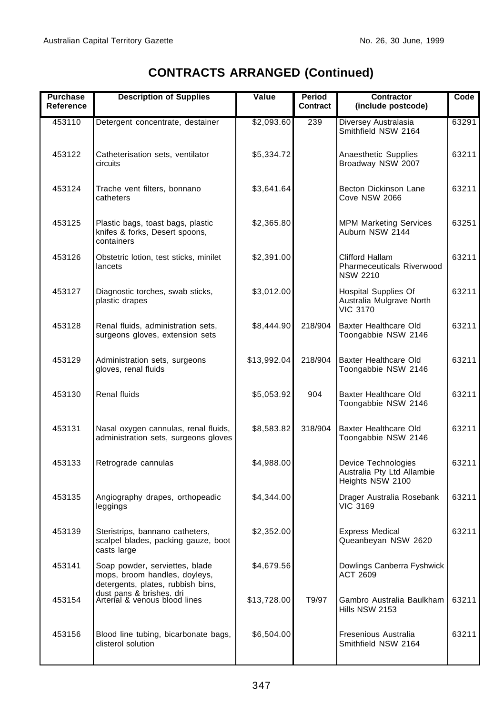| <b>Purchase</b><br>Reference | <b>Description of Supplies</b>                                                                       | Value       | Period<br>Contract | Contractor<br>(include postcode)                                           | Code  |
|------------------------------|------------------------------------------------------------------------------------------------------|-------------|--------------------|----------------------------------------------------------------------------|-------|
| 453110                       | Detergent concentrate, destainer                                                                     | \$2,093.60  | 239                | Diversey Australasia<br>Smithfield NSW 2164                                | 63291 |
| 453122                       | Catheterisation sets, ventilator<br>circuits                                                         | \$5,334.72  |                    | Anaesthetic Supplies<br>Broadway NSW 2007                                  | 63211 |
| 453124                       | Trache vent filters, bonnano<br>catheters                                                            | \$3,641.64  |                    | Becton Dickinson Lane<br>Cove NSW 2066                                     | 63211 |
| 453125                       | Plastic bags, toast bags, plastic<br>knifes & forks, Desert spoons,<br>containers                    | \$2,365.80  |                    | <b>MPM Marketing Services</b><br>Auburn NSW 2144                           | 63251 |
| 453126                       | Obstetric lotion, test sticks, minilet<br>lancets                                                    | \$2,391.00  |                    | Clifford Hallam<br>Pharmeceuticals Riverwood<br><b>NSW 2210</b>            | 63211 |
| 453127                       | Diagnostic torches, swab sticks,<br>plastic drapes                                                   | \$3,012.00  |                    | <b>Hospital Supplies Of</b><br>Australia Mulgrave North<br><b>VIC 3170</b> | 63211 |
| 453128                       | Renal fluids, administration sets,<br>surgeons gloves, extension sets                                | \$8,444.90  | 218/904            | Baxter Healthcare Old<br>Toongabbie NSW 2146                               | 63211 |
| 453129                       | Administration sets, surgeons<br>gloves, renal fluids                                                | \$13,992.04 | 218/904            | Baxter Healthcare Old<br>Toongabbie NSW 2146                               | 63211 |
| 453130                       | <b>Renal fluids</b>                                                                                  | \$5,053.92  | 904                | Baxter Healthcare Old<br>Toongabbie NSW 2146                               | 63211 |
| 453131                       | Nasal oxygen cannulas, renal fluids,<br>administration sets, surgeons gloves                         | \$8,583.82  | 318/904            | Baxter Healthcare Old<br>Toongabbie NSW 2146                               | 63211 |
| 453133                       | Retrograde cannulas                                                                                  | \$4,988.00  |                    | Device Technologies<br>Australia Pty Ltd Allambie<br>Heights NSW 2100      | 63211 |
| 453135                       | Angiography drapes, orthopeadic<br>leggings                                                          | \$4,344.00  |                    | Drager Australia Rosebank<br><b>VIC 3169</b>                               | 63211 |
| 453139                       | Steristrips, bannano catheters,<br>scalpel blades, packing gauze, boot<br>casts large                | \$2,352.00  |                    | <b>Express Medical</b><br>Queanbeyan NSW 2620                              | 63211 |
| 453141                       | Soap powder, serviettes, blade<br>mops, broom handles, doyleys,<br>detergents, plates, rubbish bins, | \$4,679.56  |                    | Dowlings Canberra Fyshwick<br>ACT 2609                                     |       |
| 453154                       | dust pans & brishes. dri<br>Arterial & venous blood lines                                            | \$13,728.00 | T9/97              | Gambro Australia Baulkham<br>Hills NSW 2153                                | 63211 |
| 453156                       | Blood line tubing, bicarbonate bags,<br>clisterol solution                                           | \$6,504.00  |                    | Fresenious Australia<br>Smithfield NSW 2164                                | 63211 |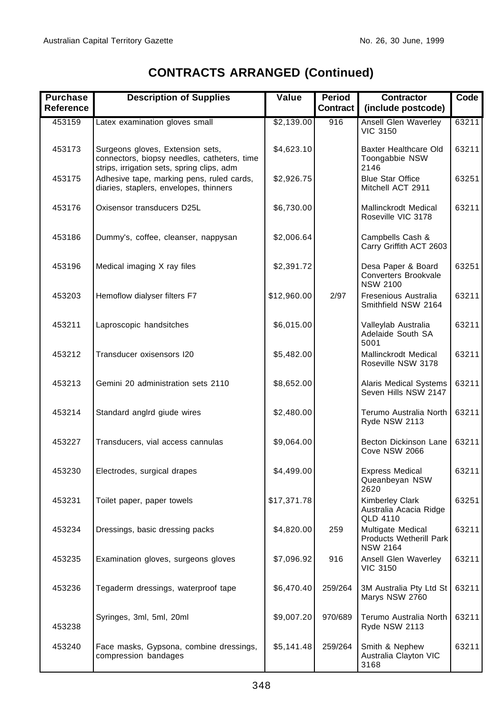| <b>Purchase</b><br>Reference | <b>Description of Supplies</b>                                                                                                | Value       | Period<br><b>Contract</b> | <b>Contractor</b><br>(include postcode)                                | Code  |
|------------------------------|-------------------------------------------------------------------------------------------------------------------------------|-------------|---------------------------|------------------------------------------------------------------------|-------|
| 453159                       | Latex examination gloves small                                                                                                | \$2,139.00  | 916                       | Ansell Glen Waverley<br><b>VIC 3150</b>                                | 63211 |
| 453173                       | Surgeons gloves, Extension sets,<br>connectors, biopsy needles, catheters, time<br>strips, irrigation sets, spring clips, adm | \$4,623.10  |                           | Baxter Healthcare Old<br>Toongabbie NSW<br>2146                        | 63211 |
| 453175                       | Adhesive tape, marking pens, ruled cards,<br>diaries, staplers, envelopes, thinners                                           | \$2,926.75  |                           | <b>Blue Star Office</b><br>Mitchell ACT 2911                           | 63251 |
| 453176                       | Oxisensor transducers D25L                                                                                                    | \$6,730.00  |                           | Mallinckrodt Medical<br>Roseville VIC 3178                             | 63211 |
| 453186                       | Dummy's, coffee, cleanser, nappysan                                                                                           | \$2,006.64  |                           | Campbells Cash &<br>Carry Griffith ACT 2603                            |       |
| 453196                       | Medical imaging X ray files                                                                                                   | \$2,391.72  |                           | Desa Paper & Board<br>Converters Brookvale<br><b>NSW 2100</b>          | 63251 |
| 453203                       | Hemoflow dialyser filters F7                                                                                                  | \$12,960.00 | 2/97                      | Fresenious Australia<br>Smithfield NSW 2164                            | 63211 |
| 453211                       | Laproscopic handsitches                                                                                                       | \$6,015.00  |                           | Valleylab Australia<br>Adelaide South SA<br>5001                       | 63211 |
| 453212                       | Transducer oxisensors I20                                                                                                     | \$5,482.00  |                           | Mallinckrodt Medical<br>Roseville NSW 3178                             | 63211 |
| 453213                       | Gemini 20 administration sets 2110                                                                                            | \$8,652.00  |                           | <b>Alaris Medical Systems</b><br>Seven Hills NSW 2147                  | 63211 |
| 453214                       | Standard anglrd giude wires                                                                                                   | \$2,480.00  |                           | Terumo Australia North<br>Ryde NSW 2113                                | 63211 |
| 453227                       | Transducers, vial access cannulas                                                                                             | \$9,064.00  |                           | Becton Dickinson Lane<br>Cove NSW 2066                                 | 63211 |
| 453230                       | Electrodes, surgical drapes                                                                                                   | \$4,499.00  |                           | <b>Express Medical</b><br>Queanbeyan NSW<br>2620                       | 63211 |
| 453231                       | Toilet paper, paper towels                                                                                                    | \$17,371.78 |                           | <b>Kimberley Clark</b><br>Australia Acacia Ridge<br>QLD 4110           | 63251 |
| 453234                       | Dressings, basic dressing packs                                                                                               | \$4,820.00  | 259                       | Multigate Medical<br><b>Products Wetherill Park</b><br><b>NSW 2164</b> | 63211 |
| 453235                       | Examination gloves, surgeons gloves                                                                                           | \$7,096.92  | 916                       | Ansell Glen Waverley<br><b>VIC 3150</b>                                | 63211 |
| 453236                       | Tegaderm dressings, waterproof tape                                                                                           | \$6,470.40  | 259/264                   | 3M Australia Pty Ltd St<br>Marys NSW 2760                              | 63211 |
| 453238                       | Syringes, 3ml, 5ml, 20ml                                                                                                      | \$9,007.20  | 970/689                   | Terumo Australia North<br>Ryde NSW 2113                                | 63211 |
| 453240                       | Face masks, Gypsona, combine dressings,<br>compression bandages                                                               | \$5,141.48  | 259/264                   | Smith & Nephew<br>Australia Clayton VIC<br>3168                        | 63211 |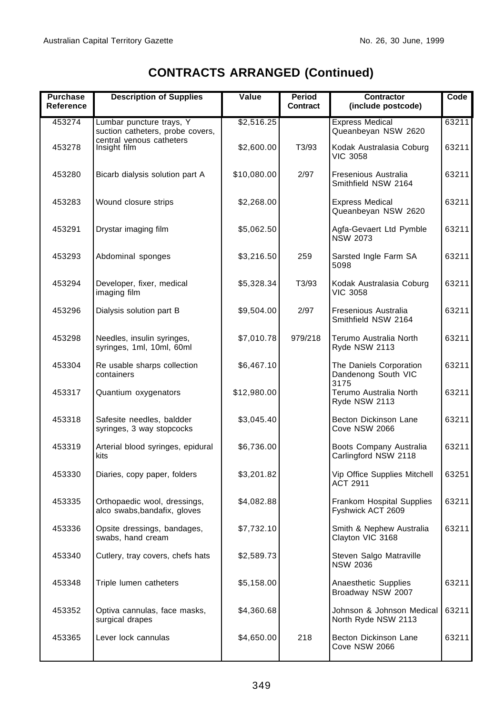| <b>Purchase</b><br>Reference | <b>Description of Supplies</b>                               | Value       | Period<br>Contract | Contractor<br>(include postcode)                       | Code  |
|------------------------------|--------------------------------------------------------------|-------------|--------------------|--------------------------------------------------------|-------|
| 453274                       | Lumbar puncture trays, Y<br>suction catheters, probe covers, | \$2,516.25  |                    | <b>Express Medical</b><br>Queanbeyan NSW 2620          | 63211 |
| 453278                       | central venous catheters<br>Insight film                     | \$2,600.00  | T3/93              | Kodak Australasia Coburg<br><b>VIC 3058</b>            | 63211 |
| 453280                       | Bicarb dialysis solution part A                              | \$10,080.00 | 2/97               | Fresenious Australia<br>Smithfield NSW 2164            | 63211 |
| 453283                       | Wound closure strips                                         | \$2,268.00  |                    | <b>Express Medical</b><br>Queanbeyan NSW 2620          | 63211 |
| 453291                       | Drystar imaging film                                         | \$5,062.50  |                    | Agfa-Gevaert Ltd Pymble<br><b>NSW 2073</b>             | 63211 |
| 453293                       | Abdominal sponges                                            | \$3,216.50  | 259                | Sarsted Ingle Farm SA<br>5098                          | 63211 |
| 453294                       | Developer, fixer, medical<br>imaging film                    | \$5,328.34  | T3/93              | Kodak Australasia Coburg<br><b>VIC 3058</b>            | 63211 |
| 453296                       | Dialysis solution part B                                     | \$9,504.00  | 2/97               | Fresenious Australia<br>Smithfield NSW 2164            | 63211 |
| 453298                       | Needles, insulin syringes,<br>syringes, 1ml, 10ml, 60ml      | \$7,010.78  | 979/218            | Terumo Australia North<br>Ryde NSW 2113                | 63211 |
| 453304                       | Re usable sharps collection<br>containers                    | \$6,467.10  |                    | The Daniels Corporation<br>Dandenong South VIC<br>3175 | 63211 |
| 453317                       | Quantium oxygenators                                         | \$12,980.00 |                    | Terumo Australia North<br>Ryde NSW 2113                | 63211 |
| 453318                       | Safesite needles, baldder<br>syringes, 3 way stopcocks       | \$3,045.40  |                    | Becton Dickinson Lane<br>Cove NSW 2066                 | 63211 |
| 453319                       | Arterial blood syringes, epidural<br>kits                    | \$6,736.00  |                    | Boots Company Australia<br>Carlingford NSW 2118        | 63211 |
| 453330                       | Diaries, copy paper, folders                                 | \$3,201.82  |                    | Vip Office Supplies Mitchell<br>ACT 2911               | 63251 |
| 453335                       | Orthopaedic wool, dressings,<br>alco swabs, bandafix, gloves | \$4,082.88  |                    | Frankom Hospital Supplies<br>Fyshwick ACT 2609         | 63211 |
| 453336                       | Opsite dressings, bandages,<br>swabs, hand cream             | \$7,732.10  |                    | Smith & Nephew Australia<br>Clayton VIC 3168           | 63211 |
| 453340                       | Cutlery, tray covers, chefs hats                             | \$2,589.73  |                    | Steven Salgo Matraville<br><b>NSW 2036</b>             |       |
| 453348                       | Triple lumen catheters                                       | \$5,158.00  |                    | Anaesthetic Supplies<br>Broadway NSW 2007              | 63211 |
| 453352                       | Optiva cannulas, face masks,<br>surgical drapes              | \$4,360.68  |                    | Johnson & Johnson Medical<br>North Ryde NSW 2113       | 63211 |
| 453365                       | Lever lock cannulas                                          | \$4,650.00  | 218                | Becton Dickinson Lane<br>Cove NSW 2066                 | 63211 |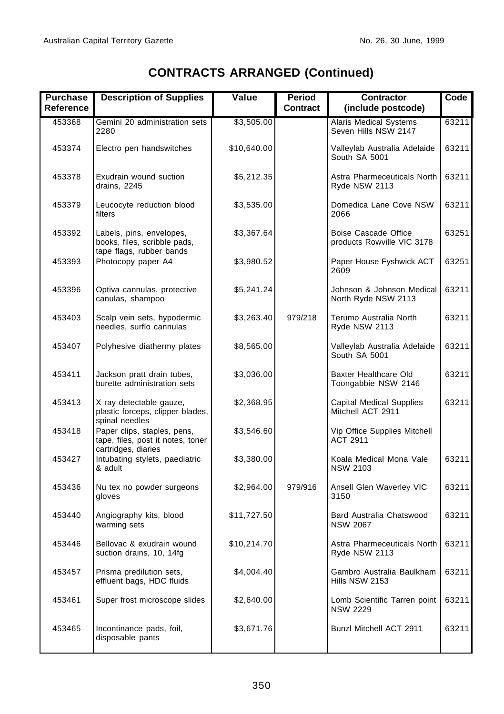| <b>Purchase</b><br>Reference | <b>Description of Supplies</b>                                                          | Value       | <b>Period</b><br><b>Contract</b> | <b>Contractor</b><br>(include postcode)               | Code  |
|------------------------------|-----------------------------------------------------------------------------------------|-------------|----------------------------------|-------------------------------------------------------|-------|
| 453368                       | Gemini 20 administration sets<br>2280                                                   | \$3,505.00  |                                  | <b>Alaris Medical Systems</b><br>Seven Hills NSW 2147 | 63211 |
| 453374                       | Electro pen handswitches                                                                | \$10,640.00 |                                  | Valleylab Australia Adelaide<br>South SA 5001         | 63211 |
| 453378                       | Exudrain wound suction<br>drains, 2245                                                  | \$5,212.35  |                                  | Astra Pharmeceuticals North<br>Ryde NSW 2113          | 63211 |
| 453379                       | Leucocyte reduction blood<br>filters                                                    | \$3,535.00  |                                  | Domedica Lane Cove NSW<br>2066                        | 63211 |
| 453392                       | Labels, pins, envelopes,<br>books, files, scribble pads,<br>tape flags, rubber bands    | \$3,367.64  |                                  | Boise Cascade Office<br>products Rowville VIC 3178    | 63251 |
| 453393                       | Photocopy paper A4                                                                      | \$3,980.52  |                                  | Paper House Fyshwick ACT<br>2609                      | 63251 |
| 453396                       | Optiva cannulas, protective<br>canulas, shampoo                                         | \$5,241.24  |                                  | Johnson & Johnson Medical<br>North Ryde NSW 2113      | 63211 |
| 453403                       | Scalp vein sets, hypodermic<br>needles, surflo cannulas                                 | \$3,263.40  | 979/218                          | Terumo Australia North<br>Ryde NSW 2113               | 63211 |
| 453407                       | Polyhesive diathermy plates                                                             | \$8,565.00  |                                  | Valleylab Australia Adelaide<br>South SA 5001         | 63211 |
| 453411                       | Jackson pratt drain tubes,<br>burette administration sets                               | \$3,036.00  |                                  | Baxter Healthcare Old<br>Toongabbie NSW 2146          | 63211 |
| 453413                       | X ray detectable gauze,<br>plastic forceps, clipper blades,<br>spinal needles           | \$2,368.95  |                                  | <b>Capital Medical Supplies</b><br>Mitchell ACT 2911  | 63211 |
| 453418                       | Paper clips, staples, pens,<br>tape, files, post it notes, toner<br>cartridges, diaries | \$3,546.60  |                                  | Vip Office Supplies Mitchell<br><b>ACT 2911</b>       |       |
| 453427                       | Intubating stylets, paediatric<br>& adult                                               | \$3,380.00  |                                  | Koala Medical Mona Vale<br><b>NSW 2103</b>            | 63211 |
| 453436                       | Nu tex no powder surgeons<br>gloves                                                     | \$2,964.00  | 979/916                          | Ansell Glen Waverley VIC<br>3150                      | 63211 |
| 453440                       | Angiography kits, blood<br>warming sets                                                 | \$11,727.50 |                                  | Bard Australia Chatswood<br><b>NSW 2067</b>           | 63211 |
| 453446                       | Bellovac & exudrain wound<br>suction drains, 10, 14fg                                   | \$10,214.70 |                                  | Astra Pharmeceuticals North   63211<br>Ryde NSW 2113  |       |
| 453457                       | Prisma predilution sets,<br>effluent bags, HDC fluids                                   | \$4,004.40  |                                  | Gambro Australia Baulkham<br>Hills NSW 2153           | 63211 |
| 453461                       | Super frost microscope slides                                                           | \$2,640.00  |                                  | Lomb Scientific Tarren point<br><b>NSW 2229</b>       | 63211 |
| 453465                       | Incontinance pads, foil,<br>disposable pants                                            | \$3,671.76  |                                  | Bunzl Mitchell ACT 2911                               | 63211 |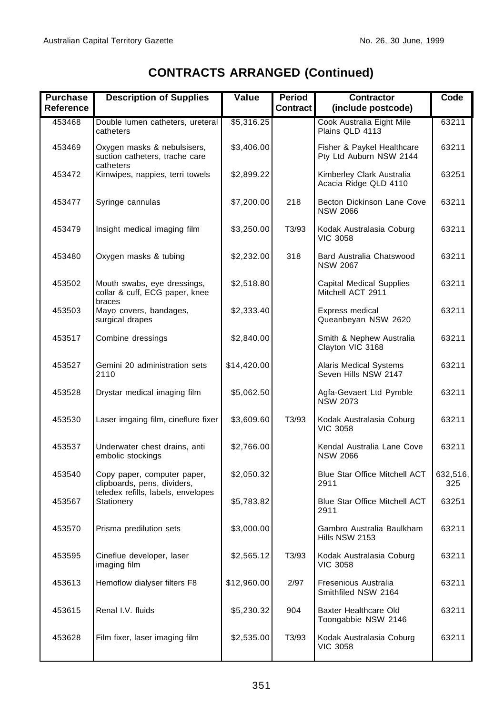| <b>Purchase</b><br>Reference | <b>Description of Supplies</b>                                                                   | Value       | Period<br>Contract | <b>Contractor</b><br>(include postcode)               | Code            |
|------------------------------|--------------------------------------------------------------------------------------------------|-------------|--------------------|-------------------------------------------------------|-----------------|
| 453468                       | Double lumen catheters, ureteral<br>catheters                                                    | \$5,316.25  |                    | Cook Australia Eight Mile<br>Plains QLD 4113          | 63211           |
| 453469                       | Oxygen masks & nebulsisers,<br>suction catheters, trache care<br>catheters                       | \$3,406.00  |                    | Fisher & Paykel Healthcare<br>Pty Ltd Auburn NSW 2144 | 63211           |
| 453472                       | Kimwipes, nappies, terri towels                                                                  | \$2,899.22  |                    | Kimberley Clark Australia<br>Acacia Ridge QLD 4110    | 63251           |
| 453477                       | Syringe cannulas                                                                                 | \$7,200.00  | 218                | Becton Dickinson Lane Cove<br><b>NSW 2066</b>         | 63211           |
| 453479                       | Insight medical imaging film                                                                     | \$3,250.00  | T3/93              | Kodak Australasia Coburg<br><b>VIC 3058</b>           | 63211           |
| 453480                       | Oxygen masks & tubing                                                                            | \$2,232.00  | 318                | Bard Australia Chatswood<br><b>NSW 2067</b>           | 63211           |
| 453502                       | Mouth swabs, eye dressings,<br>collar & cuff, ECG paper, knee<br>braces                          | \$2,518.80  |                    | <b>Capital Medical Supplies</b><br>Mitchell ACT 2911  | 63211           |
| 453503                       | Mayo covers, bandages,<br>surgical drapes                                                        | \$2,333.40  |                    | Express medical<br>Queanbeyan NSW 2620                | 63211           |
| 453517                       | Combine dressings                                                                                | \$2,840.00  |                    | Smith & Nephew Australia<br>Clayton VIC 3168          | 63211           |
| 453527                       | Gemini 20 administration sets<br>2110                                                            | \$14,420.00 |                    | <b>Alaris Medical Systems</b><br>Seven Hills NSW 2147 | 63211           |
| 453528                       | Drystar medical imaging film                                                                     | \$5,062.50  |                    | Agfa-Gevaert Ltd Pymble<br><b>NSW 2073</b>            | 63211           |
| 453530                       | Laser imgaing film, cineflure fixer                                                              | \$3,609.60  | T3/93              | Kodak Australasia Coburg<br><b>VIC 3058</b>           | 63211           |
| 453537                       | Underwater chest drains, anti<br>embolic stockings                                               | \$2,766.00  |                    | Kendal Australia Lane Cove<br><b>NSW 2066</b>         | 63211           |
| 453540                       | Copy paper, computer paper,<br>clipboards, pens, dividers,<br>teledex refills, labels, envelopes | \$2,050.32  |                    | <b>Blue Star Office Mitchell ACT</b><br>2911          | 632,516,<br>325 |
| 453567                       | Stationery                                                                                       | \$5,783.82  |                    | <b>Blue Star Office Mitchell ACT</b><br>2911          | 63251           |
| 453570                       | Prisma predilution sets                                                                          | \$3,000.00  |                    | Gambro Australia Baulkham<br>Hills NSW 2153           | 63211           |
| 453595                       | Cineflue developer, laser<br>imaging film                                                        | \$2,565.12  | T3/93              | Kodak Australasia Coburg<br><b>VIC 3058</b>           | 63211           |
| 453613                       | Hemoflow dialyser filters F8                                                                     | \$12,960.00 | 2/97               | Fresenious Australia<br>Smithfiled NSW 2164           | 63211           |
| 453615                       | Renal I.V. fluids                                                                                | \$5,230.32  | 904                | Baxter Healthcare Old<br>Toongabbie NSW 2146          | 63211           |
| 453628                       | Film fixer, laser imaging film                                                                   | \$2,535.00  | T3/93              | Kodak Australasia Coburg<br><b>VIC 3058</b>           | 63211           |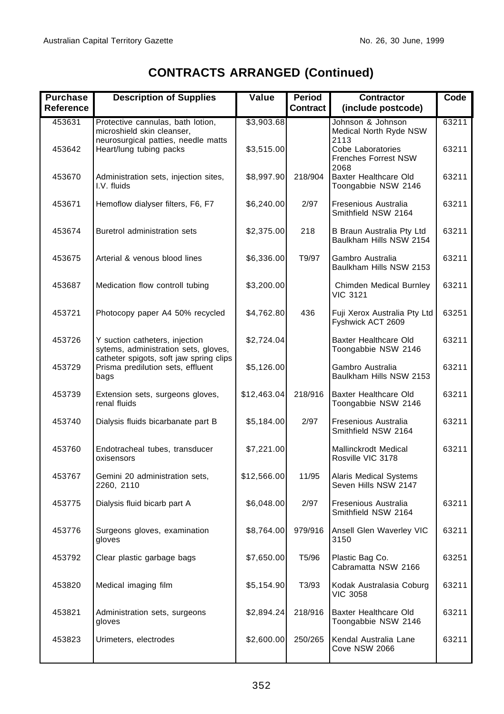| <b>Purchase</b><br>Reference | <b>Description of Supplies</b>                                                                                    | Value       | Period<br><b>Contract</b> | <b>Contractor</b><br>(include postcode)                          | Code  |
|------------------------------|-------------------------------------------------------------------------------------------------------------------|-------------|---------------------------|------------------------------------------------------------------|-------|
| 453631                       | Protective cannulas, bath lotion,<br>microshield skin cleanser,                                                   | \$3,903.68  |                           | Johnson & Johnson<br>Medical North Ryde NSW                      | 63211 |
| 453642                       | neurosurgical patties, needle matts<br>Heart/lung tubing packs                                                    | \$3,515.00  |                           | 2113<br>Cobe Laboratories<br><b>Frenches Forrest NSW</b><br>2068 | 63211 |
| 453670                       | Administration sets, injection sites,<br>I.V. fluids                                                              | \$8,997.90  | 218/904                   | Baxter Healthcare Old<br>Toongabbie NSW 2146                     | 63211 |
| 453671                       | Hemoflow dialyser filters, F6, F7                                                                                 | \$6,240.00  | 2/97                      | Fresenious Australia<br>Smithfield NSW 2164                      | 63211 |
| 453674                       | Buretrol administration sets                                                                                      | \$2,375.00  | 218                       | B Braun Australia Pty Ltd<br>Baulkham Hills NSW 2154             | 63211 |
| 453675                       | Arterial & venous blood lines                                                                                     | \$6,336.00  | T9/97                     | Gambro Australia<br>Baulkham Hills NSW 2153                      | 63211 |
| 453687                       | Medication flow controll tubing                                                                                   | \$3,200.00  |                           | Chimden Medical Burnley<br><b>VIC 3121</b>                       | 63211 |
| 453721                       | Photocopy paper A4 50% recycled                                                                                   | \$4,762.80  | 436                       | Fuji Xerox Australia Pty Ltd<br>Fyshwick ACT 2609                | 63251 |
| 453726                       | Y suction catheters, injection<br>sytems, administration sets, gloves,<br>catheter spigots, soft jaw spring clips | \$2,724.04  |                           | Baxter Healthcare Old<br>Toongabbie NSW 2146                     | 63211 |
| 453729                       | Prisma predilution sets, effluent<br>bags                                                                         | \$5,126.00  |                           | Gambro Australia<br>Baulkham Hills NSW 2153                      | 63211 |
| 453739                       | Extension sets, surgeons gloves,<br>renal fluids                                                                  | \$12,463.04 | 218/916                   | Baxter Healthcare Old<br>Toongabbie NSW 2146                     | 63211 |
| 453740                       | Dialysis fluids bicarbanate part B                                                                                | \$5,184.00  | 2/97                      | Fresenious Australia<br>Smithfield NSW 2164                      | 63211 |
| 453760                       | Endotracheal tubes, transducer<br>oxisensors                                                                      | \$7,221.00  |                           | Mallinckrodt Medical<br>Rosville VIC 3178                        | 63211 |
| 453767                       | Gemini 20 administration sets,<br>2260, 2110                                                                      | \$12,566.00 | 11/95                     | Alaris Medical Systems<br>Seven Hills NSW 2147                   |       |
| 453775                       | Dialysis fluid bicarb part A                                                                                      | \$6,048.00  | 2/97                      | Fresenious Australia<br>Smithfield NSW 2164                      | 63211 |
| 453776                       | Surgeons gloves, examination<br>gloves                                                                            | \$8,764.00  | 979/916                   | Ansell Glen Waverley VIC<br>3150                                 | 63211 |
| 453792                       | Clear plastic garbage bags                                                                                        | \$7,650.00  | T5/96                     | Plastic Bag Co.<br>Cabramatta NSW 2166                           | 63251 |
| 453820                       | Medical imaging film                                                                                              | \$5,154.90  | T3/93                     | Kodak Australasia Coburg<br><b>VIC 3058</b>                      | 63211 |
| 453821                       | Administration sets, surgeons<br>gloves                                                                           | \$2,894.24  | 218/916                   | Baxter Healthcare Old<br>Toongabbie NSW 2146                     | 63211 |
| 453823                       | Urimeters, electrodes                                                                                             | \$2,600.00  | 250/265                   | Kendal Australia Lane<br>Cove NSW 2066                           | 63211 |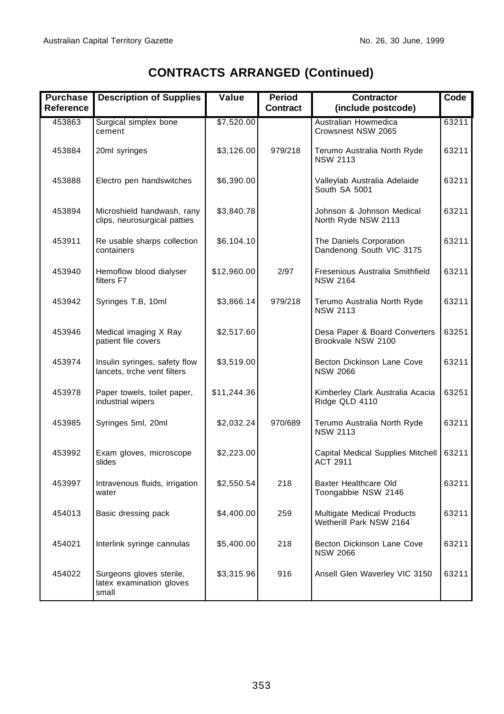| <b>Purchase</b><br><b>Reference</b> | <b>Description of Supplies</b>                                | Value       | Period<br>Contract | <b>Contractor</b><br>(include postcode)               | Code  |
|-------------------------------------|---------------------------------------------------------------|-------------|--------------------|-------------------------------------------------------|-------|
| 453863                              | Surgical simplex bone<br>cement                               | \$7,520.00  |                    | Australian Howmedica<br>Crowsnest NSW 2065            | 63211 |
| 453884                              | 20ml syringes                                                 | \$3,126.00  | 979/218            | Terumo Australia North Ryde<br><b>NSW 2113</b>        | 63211 |
| 453888                              | Electro pen handswitches                                      | \$6,390.00  |                    | Valleylab Australia Adelaide<br>South SA 5001         | 63211 |
| 453894                              | Microshield handwash, rany<br>clips, neurosurgical patties    | \$3,840.78  |                    | Johnson & Johnson Medical<br>North Ryde NSW 2113      | 63211 |
| 453911                              | Re usable sharps collection<br>containers                     | \$6,104.10  |                    | The Daniels Corporation<br>Dandenong South VIC 3175   | 63211 |
| 453940                              | Hemoflow blood dialyser<br>filters F7                         | \$12,960.00 | 2/97               | Fresenious Australia Smithfield<br><b>NSW 2164</b>    | 63211 |
| 453942                              | Syringes T.B, 10ml                                            | \$3,866.14  | 979/218            | Terumo Australia North Ryde<br><b>NSW 2113</b>        | 63211 |
| 453946                              | Medical imaging X Ray<br>patient file covers                  | \$2,517.60  |                    | Desa Paper & Board Converters<br>Brookvale NSW 2100   | 63251 |
| 453974                              | Insulin syringes, safety flow<br>lancets, trche vent filters  | \$3,519.00  |                    | Becton Dickinson Lane Cove<br><b>NSW 2066</b>         | 63211 |
| 453978                              | Paper towels, toilet paper,<br>industrial wipers              | \$11,244.36 |                    | Kimberley Clark Australia Acacia<br>Ridge QLD 4110    | 63251 |
| 453985                              | Syringes 5ml, 20ml                                            | \$2,032.24  | 970/689            | Terumo Australia North Ryde<br><b>NSW 2113</b>        | 63211 |
| 453992                              | Exam gloves, microscope<br>slides                             | \$2,223.00  |                    | Capital Medical Supplies Mitchell<br><b>ACT 2911</b>  | 63211 |
| 453997                              | Intravenous fluids, irrigation<br>water                       | \$2,550.54  | 218                | Baxter Healthcare Old<br>Toongabbie NSW 2146          | 63211 |
| 454013                              | Basic dressing pack                                           | \$4,400.00  | 259                | Multigate Medical Products<br>Wetherill Park NSW 2164 | 63211 |
| 454021                              | Interlink syringe cannulas                                    | \$5,400.00  | 218                | Becton Dickinson Lane Cove<br><b>NSW 2066</b>         | 63211 |
| 454022                              | Surgeons gloves sterile,<br>latex examination gloves<br>small | \$3,315.96  | 916                | Ansell Glen Waverley VIC 3150                         | 63211 |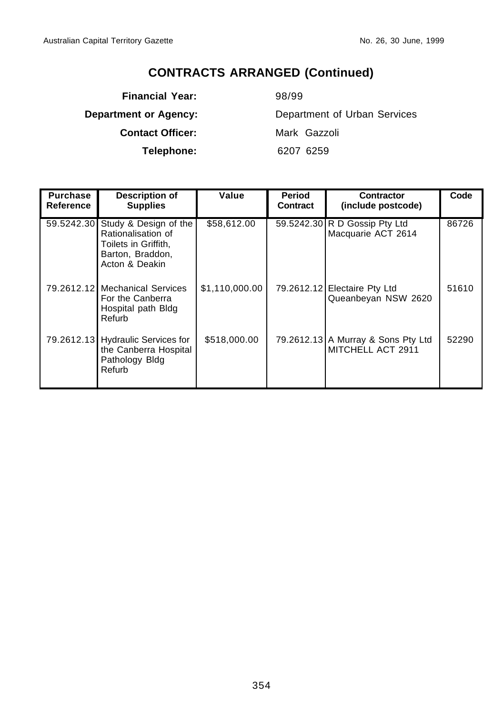**Financial Year:** 98/99 **Contact Officer:** Mark Gazzoli

**Department or Agency:** Department of Urban Services **Telephone:** 6207 6259

| <b>Purchase</b><br><b>Reference</b> | <b>Description of</b><br><b>Supplies</b>                                                                             | Value          | Period<br><b>Contract</b> | <b>Contractor</b><br>(include postcode)                 | Code  |
|-------------------------------------|----------------------------------------------------------------------------------------------------------------------|----------------|---------------------------|---------------------------------------------------------|-------|
|                                     | 59.5242.30 Study & Design of the<br>Rationalisation of<br>Toilets in Griffith,<br>Barton, Braddon,<br>Acton & Deakin | \$58,612.00    |                           | 59.5242.30 R D Gossip Pty Ltd<br>Macquarie ACT 2614     | 86726 |
|                                     | 79.2612.12 Mechanical Services<br>For the Canberra<br>Hospital path Bldg<br>Refurb                                   | \$1,110,000.00 |                           | 79.2612.12 Electaire Pty Ltd<br>Queanbeyan NSW 2620     | 51610 |
|                                     | 79.2612.13 Hydraulic Services for<br>the Canberra Hospital<br>Pathology Bldg<br>Refurb                               | \$518,000.00   |                           | 79.2612.13 A Murray & Sons Pty Ltd<br>MITCHELL ACT 2911 | 52290 |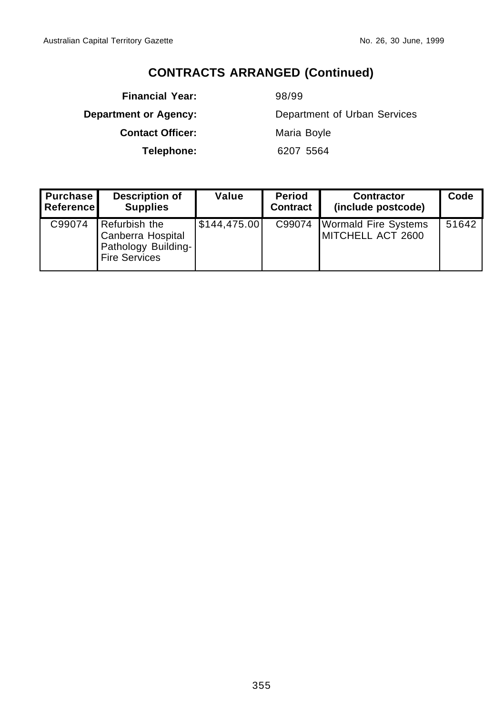**Financial Year:** 98/99 **Contact Officer:** Maria Boyle

**Department or Agency:** Department of Urban Services **Telephone:** 6207 5564

| <b>Purchase</b><br><b>Reference</b> | <b>Description of</b><br><b>Supplies</b>                                          | Value        | <b>Period</b><br><b>Contract</b> | <b>Contractor</b><br>(include postcode)          | Code  |
|-------------------------------------|-----------------------------------------------------------------------------------|--------------|----------------------------------|--------------------------------------------------|-------|
| C99074                              | Refurbish the<br>Canberra Hospital<br>Pathology Building-<br><b>Fire Services</b> | \$144,475.00 | C99074                           | <b>Wormald Fire Systems</b><br>MITCHELL ACT 2600 | 51642 |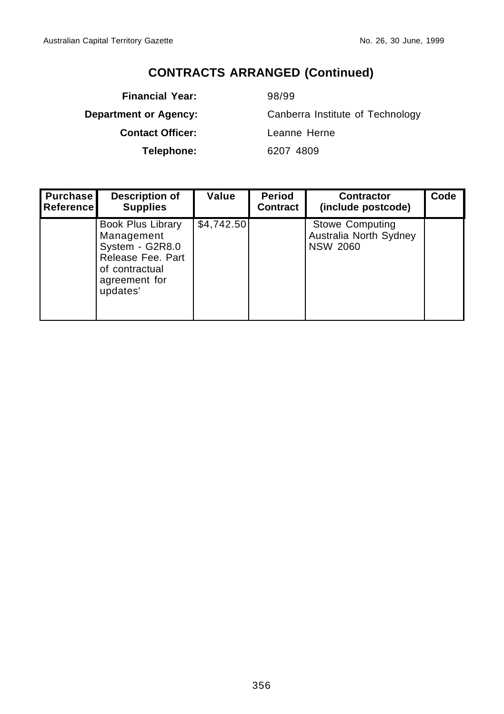**Financial Year:** 98/99 **Contact Officer:** Leanne Herne

**Department or Agency:** Canberra Institute of Technology **Telephone:** 6207 4809

| Purchase<br><b>Referencel</b> | <b>Description of</b><br><b>Supplies</b>                                                                               | Value      | <b>Period</b><br>Contract | <b>Contractor</b><br>(include postcode)                             | Code |
|-------------------------------|------------------------------------------------------------------------------------------------------------------------|------------|---------------------------|---------------------------------------------------------------------|------|
|                               | Book Plus Library<br>Management<br>System - G2R8.0<br>Release Fee. Part<br>of contractual<br>agreement for<br>updates' | \$4,742.50 |                           | <b>Stowe Computing</b><br>Australia North Sydney<br><b>NSW 2060</b> |      |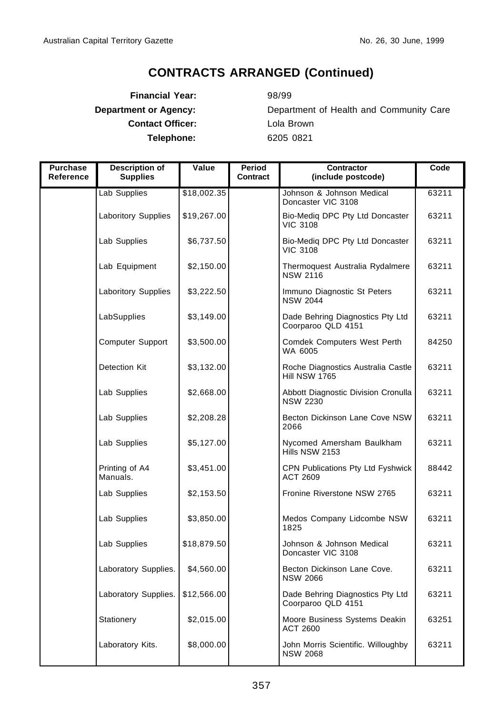**Financial Year:** 98/99 **Contact Officer:** Lola Brown **Telephone:** 6205 0821

**Department or Agency:** Department of Health and Community Care

| <b>Purchase</b><br>Reference | Description of<br><b>Supplies</b> | Value       | Period<br>Contract | Contractor<br>(include postcode)                            | Code  |
|------------------------------|-----------------------------------|-------------|--------------------|-------------------------------------------------------------|-------|
|                              | Lab Supplies                      | \$18,002.35 |                    | Johnson & Johnson Medical<br>Doncaster VIC 3108             | 63211 |
|                              | <b>Laboritory Supplies</b>        | \$19,267.00 |                    | Bio-Mediq DPC Pty Ltd Doncaster<br><b>VIC 3108</b>          | 63211 |
|                              | Lab Supplies                      | \$6,737.50  |                    | Bio-Medig DPC Pty Ltd Doncaster<br><b>VIC 3108</b>          | 63211 |
|                              | Lab Equipment                     | \$2,150.00  |                    | Thermoquest Australia Rydalmere<br><b>NSW 2116</b>          | 63211 |
|                              | <b>Laboritory Supplies</b>        | \$3,222.50  |                    | Immuno Diagnostic St Peters<br><b>NSW 2044</b>              | 63211 |
|                              | LabSupplies                       | \$3,149.00  |                    | Dade Behring Diagnostics Pty Ltd<br>Coorparoo QLD 4151      | 63211 |
|                              | Computer Support                  | \$3,500.00  |                    | Comdek Computers West Perth<br>WA 6005                      | 84250 |
|                              | Detection Kit                     | \$3,132.00  |                    | Roche Diagnostics Australia Castle<br><b>Hill NSW 1765</b>  | 63211 |
|                              | Lab Supplies                      | \$2,668.00  |                    | Abbott Diagnostic Division Cronulla<br><b>NSW 2230</b>      | 63211 |
|                              | Lab Supplies                      | \$2,208.28  |                    | Becton Dickinson Lane Cove NSW<br>2066                      | 63211 |
|                              | Lab Supplies                      | \$5,127.00  |                    | Nycomed Amersham Baulkham<br>Hills NSW 2153                 | 63211 |
|                              | Printing of A4<br>Manuals.        | \$3,451.00  |                    | <b>CPN Publications Pty Ltd Fyshwick</b><br><b>ACT 2609</b> | 88442 |
|                              | Lab Supplies                      | \$2,153.50  |                    | Fronine Riverstone NSW 2765                                 | 63211 |
|                              | Lab Supplies                      | \$3,850.00  |                    | Medos Company Lidcombe NSW<br>1825                          | 63211 |
|                              | Lab Supplies                      | \$18,879.50 |                    | Johnson & Johnson Medical<br>Doncaster VIC 3108             | 63211 |
|                              | Laboratory Supplies.              | \$4,560.00  |                    | Becton Dickinson Lane Cove.<br><b>NSW 2066</b>              | 63211 |
|                              | Laboratory Supplies.              | \$12,566.00 |                    | Dade Behring Diagnostics Pty Ltd<br>Coorparoo QLD 4151      | 63211 |
|                              | Stationery                        | \$2,015.00  |                    | Moore Business Systems Deakin<br><b>ACT 2600</b>            | 63251 |
|                              | Laboratory Kits.                  | \$8,000.00  |                    | John Morris Scientific. Willoughby<br><b>NSW 2068</b>       | 63211 |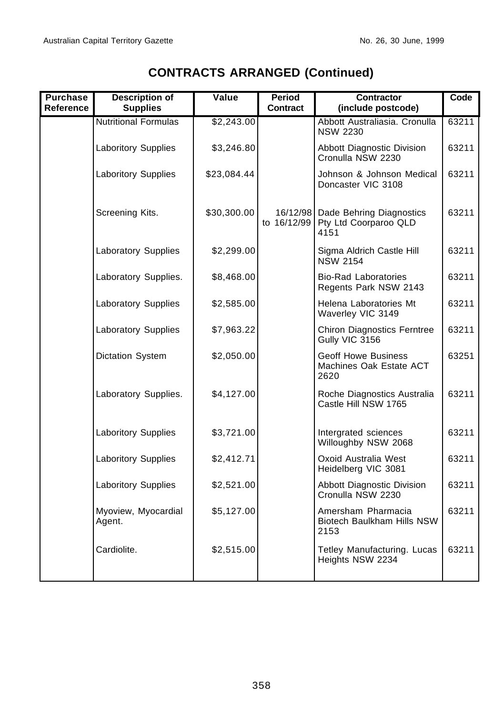| <b>Purchase</b><br><b>Reference</b> | <b>Description of</b><br><b>Supplies</b> | Value       | <b>Period</b><br>Contract | <b>Contractor</b><br>(include postcode)                       | Code  |
|-------------------------------------|------------------------------------------|-------------|---------------------------|---------------------------------------------------------------|-------|
|                                     | <b>Nutritional Formulas</b>              | \$2,243.00  |                           | Abbott Australiasia. Cronulla<br><b>NSW 2230</b>              | 63211 |
|                                     | <b>Laboritory Supplies</b>               | \$3,246.80  |                           | Abbott Diagnostic Division<br>Cronulla NSW 2230               | 63211 |
|                                     | <b>Laboritory Supplies</b>               | \$23,084.44 |                           | Johnson & Johnson Medical<br>Doncaster VIC 3108               | 63211 |
|                                     | Screening Kits.                          | \$30,300.00 | 16/12/98<br>to 16/12/99   | Dade Behring Diagnostics<br>Pty Ltd Coorparoo QLD<br>4151     | 63211 |
|                                     | <b>Laboratory Supplies</b>               | \$2,299.00  |                           | Sigma Aldrich Castle Hill<br><b>NSW 2154</b>                  | 63211 |
|                                     | Laboratory Supplies.                     | \$8,468.00  |                           | <b>Bio-Rad Laboratories</b><br>Regents Park NSW 2143          | 63211 |
|                                     | Laboratory Supplies                      | \$2,585.00  |                           | Helena Laboratories Mt<br>Waverley VIC 3149                   | 63211 |
|                                     | <b>Laboratory Supplies</b>               | \$7,963.22  |                           | <b>Chiron Diagnostics Ferntree</b><br>Gully VIC 3156          | 63211 |
|                                     | Dictation System                         | \$2,050.00  |                           | <b>Geoff Howe Business</b><br>Machines Oak Estate ACT<br>2620 | 63251 |
|                                     | Laboratory Supplies.                     | \$4,127.00  |                           | Roche Diagnostics Australia<br>Castle Hill NSW 1765           | 63211 |
|                                     | <b>Laboritory Supplies</b>               | \$3,721.00  |                           | Intergrated sciences<br>Willoughby NSW 2068                   | 63211 |
|                                     | <b>Laboritory Supplies</b>               | \$2,412.71  |                           | Oxoid Australia West<br>Heidelberg VIC 3081                   | 63211 |
|                                     | <b>Laboritory Supplies</b>               | \$2,521.00  |                           | Abbott Diagnostic Division<br>Cronulla NSW 2230               | 63211 |
|                                     | Myoview, Myocardial<br>Agent.            | \$5,127.00  |                           | Amersham Pharmacia<br>Biotech Baulkham Hills NSW<br>2153      | 63211 |
|                                     | Cardiolite.                              | \$2,515.00  |                           | Tetley Manufacturing. Lucas<br>Heights NSW 2234               | 63211 |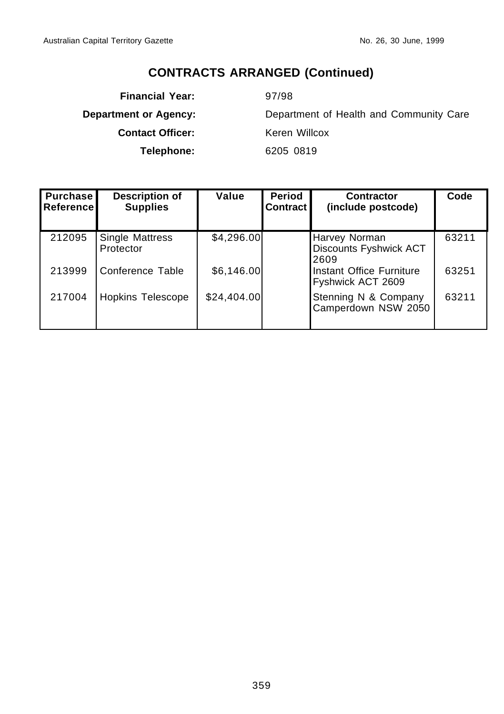**Financial Year:** 97/98 **Contact Officer:** Keren Willcox **Telephone:** 6205 0819

**Department or Agency:** Department of Health and Community Care

| <b>Purchase</b><br>Reference | <b>Description of</b><br><b>Supplies</b> | Value       | <b>Period</b><br>Contract | <b>Contractor</b><br>(include postcode)                | Code  |
|------------------------------|------------------------------------------|-------------|---------------------------|--------------------------------------------------------|-------|
| 212095                       | <b>Single Mattress</b><br>Protector      | \$4,296.00  |                           | <b>Harvey Norman</b><br>Discounts Fyshwick ACT<br>2609 | 63211 |
| 213999                       | Conference Table                         | \$6,146.00  |                           | Instant Office Furniture<br>Fyshwick ACT 2609          | 63251 |
| 217004                       | <b>Hopkins Telescope</b>                 | \$24,404.00 |                           | Stenning N & Company<br>Camperdown NSW 2050            | 63211 |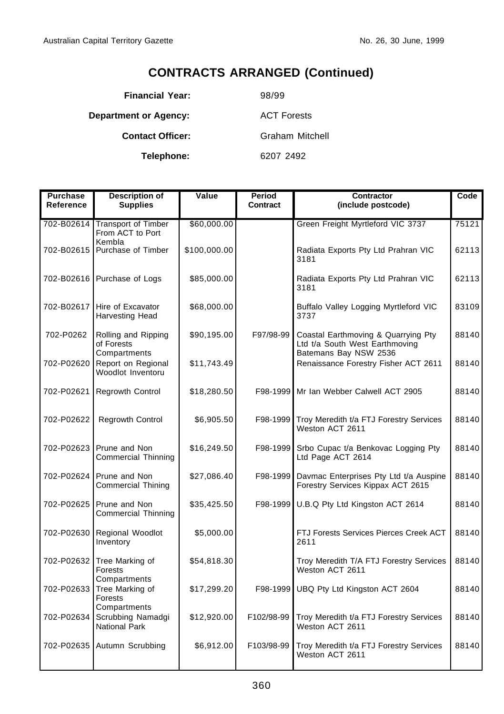| <b>Financial Year:</b>       | 98/99                  |
|------------------------------|------------------------|
| <b>Department or Agency:</b> | <b>ACT Forests</b>     |
| <b>Contact Officer:</b>      | <b>Graham Mitchell</b> |
| Telephone:                   | 6207 2492              |

| <b>Purchase</b><br>Reference | <b>Description of</b><br><b>Supplies</b>              | Value        | Period<br>Contract | <b>Contractor</b><br>(include postcode)                                                        | Code  |
|------------------------------|-------------------------------------------------------|--------------|--------------------|------------------------------------------------------------------------------------------------|-------|
| 702-B02614                   | <b>Transport of Timber</b><br>From ACT to Port        | \$60,000.00  |                    | Green Freight Myrtleford VIC 3737                                                              | 75121 |
|                              | Kembla<br>702-B02615 Purchase of Timber               | \$100,000.00 |                    | Radiata Exports Pty Ltd Prahran VIC<br>3181                                                    | 62113 |
|                              | 702-B02616 Purchase of Logs                           | \$85,000.00  |                    | Radiata Exports Pty Ltd Prahran VIC<br>3181                                                    | 62113 |
| 702-B02617                   | Hire of Excavator<br>Harvesting Head                  | \$68,000.00  |                    | Buffalo Valley Logging Myrtleford VIC<br>3737                                                  | 83109 |
| 702-P0262                    | Rolling and Ripping<br>of Forests<br>Compartments     | \$90,195.00  | F97/98-99          | Coastal Earthmoving & Quarrying Pty<br>Ltd t/a South West Earthmoving<br>Batemans Bay NSW 2536 | 88140 |
| 702-P02620                   | Report on Regional<br>Woodlot Inventoru               | \$11,743.49  |                    | Renaissance Forestry Fisher ACT 2611                                                           | 88140 |
| 702-P02621                   | <b>Regrowth Control</b>                               | \$18,280.50  |                    | F98-1999 Mr Ian Webber Calwell ACT 2905                                                        | 88140 |
| 702-P02622                   | <b>Regrowth Control</b>                               | \$6,905.50   | F98-1999           | Troy Meredith t/a FTJ Forestry Services<br>Weston ACT 2611                                     | 88140 |
| 702-P02623                   | Prune and Non<br>Commercial Thinning                  | \$16,249.50  | F98-1999           | Srbo Cupac t/a Benkovac Logging Pty<br>Ltd Page ACT 2614                                       | 88140 |
|                              | 702-P02624 Prune and Non<br><b>Commercial Thining</b> | \$27,086.40  | F98-1999           | Davmac Enterprises Pty Ltd t/a Auspine<br>Forestry Services Kippax ACT 2615                    | 88140 |
| 702-P02625                   | Prune and Non<br>Commercial Thinning                  | \$35,425.50  | F98-1999           | U.B.Q Pty Ltd Kingston ACT 2614                                                                | 88140 |
| 702-P02630                   | Regional Woodlot<br>Inventory                         | \$5,000.00   |                    | FTJ Forests Services Pierces Creek ACT<br>2611                                                 | 88140 |
| 702-P02632                   | Tree Marking of<br>Forests<br>Compartments            | \$54,818.30  |                    | Troy Meredith T/A FTJ Forestry Services<br>Weston ACT 2611                                     | 88140 |
| 702-P02633                   | Tree Marking of<br>Forests<br>Compartments            | \$17,299.20  |                    | F98-1999 UBQ Pty Ltd Kingston ACT 2604                                                         | 88140 |
| 702-P02634                   | Scrubbing Namadgi<br><b>National Park</b>             | \$12,920.00  | F102/98-99         | Troy Meredith t/a FTJ Forestry Services<br>Weston ACT 2611                                     | 88140 |
|                              | 702-P02635 Autumn Scrubbing                           | \$6,912.00   | F103/98-99         | Troy Meredith t/a FTJ Forestry Services<br>Weston ACT 2611                                     | 88140 |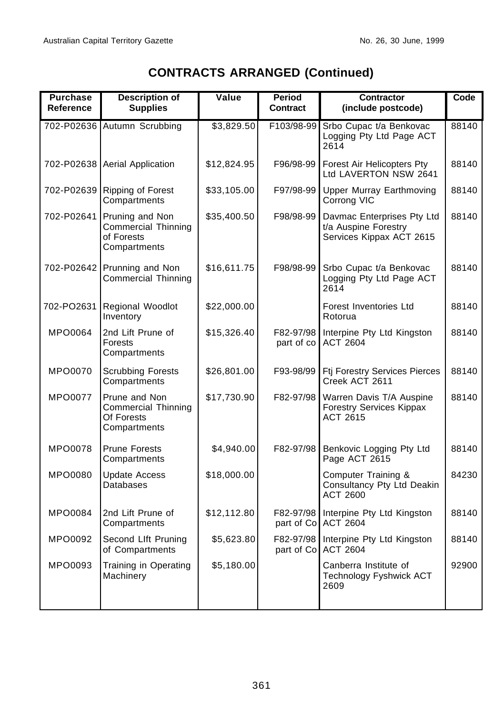|  | <b>CONTRACTS ARRANGED (Continued)</b> |  |
|--|---------------------------------------|--|
|--|---------------------------------------|--|

| <b>Purchase</b><br><b>Reference</b> | <b>Description of</b><br><b>Supplies</b>                                    | Value       | Period<br><b>Contract</b> | <b>Contractor</b><br>(include postcode)                                        | Code  |
|-------------------------------------|-----------------------------------------------------------------------------|-------------|---------------------------|--------------------------------------------------------------------------------|-------|
|                                     | 702-P02636 Autumn Scrubbing                                                 | \$3,829.50  | F103/98-99                | Srbo Cupac t/a Benkovac<br>Logging Pty Ltd Page ACT<br>2614                    | 88140 |
|                                     | 702-P02638 Aerial Application                                               | \$12,824.95 | F96/98-99                 | Forest Air Helicopters Pty<br>Ltd LAVERTON NSW 2641                            | 88140 |
| 702-P02639                          | Ripping of Forest<br>Compartments                                           | \$33,105.00 | F97/98-99                 | <b>Upper Murray Earthmoving</b><br>Corrong VIC                                 | 88140 |
| 702-P02641                          | Pruning and Non<br><b>Commercial Thinning</b><br>of Forests<br>Compartments | \$35,400.50 | F98/98-99                 | Davmac Enterprises Pty Ltd<br>t/a Auspine Forestry<br>Services Kippax ACT 2615 | 88140 |
| 702-P02642                          | Prunning and Non<br><b>Commercial Thinning</b>                              | \$16,611.75 | F98/98-99                 | Srbo Cupac t/a Benkovac<br>Logging Pty Ltd Page ACT<br>2614                    | 88140 |
| 702-PO2631                          | Regional Woodlot<br>Inventory                                               | \$22,000.00 |                           | Forest Inventories Ltd<br>Rotorua                                              | 88140 |
| MPO0064                             | 2nd Lift Prune of<br><b>Forests</b><br>Compartments                         | \$15,326.40 | F82-97/98<br>part of co   | Interpine Pty Ltd Kingston<br><b>ACT 2604</b>                                  | 88140 |
| MPO0070                             | <b>Scrubbing Forests</b><br>Compartments                                    | \$26,801.00 | F93-98/99                 | <b>Ftj Forestry Services Pierces</b><br>Creek ACT 2611                         | 88140 |
| <b>MPO0077</b>                      | Prune and Non<br><b>Commercial Thinning</b><br>Of Forests<br>Compartments   | \$17,730.90 | F82-97/98                 | Warren Davis T/A Auspine<br><b>Forestry Services Kippax</b><br><b>ACT 2615</b> | 88140 |
| MPO0078                             | <b>Prune Forests</b><br>Compartments                                        | \$4,940.00  | F82-97/98                 | Benkovic Logging Pty Ltd<br>Page ACT 2615                                      | 88140 |
| MPO0080                             | <b>Update Access</b><br><b>Databases</b>                                    | \$18,000.00 |                           | Computer Training &<br>Consultancy Pty Ltd Deakin<br><b>ACT 2600</b>           | 84230 |
| MPO0084                             | 2nd Lift Prune of<br>Compartments                                           | \$12,112.80 | F82-97/98<br>part of Co   | Interpine Pty Ltd Kingston<br><b>ACT 2604</b>                                  | 88140 |
| MPO0092                             | Second Llft Pruning<br>of Compartments                                      | \$5,623.80  | F82-97/98<br>part of Co   | Interpine Pty Ltd Kingston<br><b>ACT 2604</b>                                  | 88140 |
| MPO0093                             | Training in Operating<br>Machinery                                          | \$5,180.00  |                           | Canberra Institute of<br>Technology Fyshwick ACT<br>2609                       | 92900 |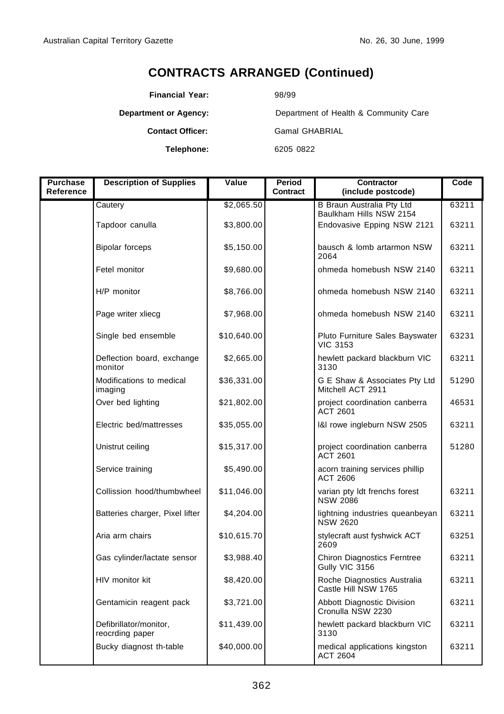**Financial Year:** 98/99

**Department or Agency:** Department of Health & Community Care

**Contact Officer:** Gamal GHABRIAL

**Telephone:** 6205 0822

| <b>Purchase</b>  | <b>Description of Supplies</b>            | Value       | Period   | <b>Contractor</b>                                    | Code  |
|------------------|-------------------------------------------|-------------|----------|------------------------------------------------------|-------|
| <b>Reference</b> |                                           |             | Contract | (include postcode)                                   |       |
|                  | Cautery                                   | \$2,065.50  |          | B Braun Australia Pty Ltd<br>Baulkham Hills NSW 2154 | 63211 |
|                  | Tapdoor canulla                           | \$3,800.00  |          | Endovasive Epping NSW 2121                           | 63211 |
|                  | <b>Bipolar forceps</b>                    | \$5,150.00  |          | bausch & lomb artarmon NSW<br>2064                   | 63211 |
|                  | Fetel monitor                             | \$9,680.00  |          | ohmeda homebush NSW 2140                             | 63211 |
|                  | H/P monitor                               | \$8,766.00  |          | ohmeda homebush NSW 2140                             | 63211 |
|                  | Page writer xliecg                        | \$7,968.00  |          | ohmeda homebush NSW 2140                             | 63211 |
|                  | Single bed ensemble                       | \$10,640.00 |          | Pluto Furniture Sales Bayswater<br><b>VIC 3153</b>   | 63231 |
|                  | Deflection board, exchange<br>monitor     | \$2,665.00  |          | hewlett packard blackburn VIC<br>3130                | 63211 |
|                  | Modifications to medical<br>imaging       | \$36,331.00 |          | G E Shaw & Associates Pty Ltd<br>Mitchell ACT 2911   | 51290 |
|                  | Over bed lighting                         | \$21,802.00 |          | project coordination canberra<br><b>ACT 2601</b>     | 46531 |
|                  | Electric bed/mattresses                   | \$35,055.00 |          | I&I rowe ingleburn NSW 2505                          | 63211 |
|                  | Unistrut ceiling                          | \$15,317.00 |          | project coordination canberra<br>ACT 2601            | 51280 |
|                  | Service training                          | \$5,490.00  |          | acorn training services phillip<br><b>ACT 2606</b>   |       |
|                  | Collission hood/thumbwheel                | \$11,046.00 |          | varian pty ldt frenchs forest<br><b>NSW 2086</b>     | 63211 |
|                  | Batteries charger, Pixel lifter           | \$4,204.00  |          | lightning industries queanbeyan<br><b>NSW 2620</b>   | 63211 |
|                  | Aria arm chairs                           | \$10,615.70 |          | stylecraft aust fyshwick ACT<br>2609                 | 63251 |
|                  | Gas cylinder/lactate sensor               | \$3,988.40  |          | <b>Chiron Diagnostics Ferntree</b><br>Gully VIC 3156 | 63211 |
|                  | HIV monitor kit                           | \$8,420.00  |          | Roche Diagnostics Australia<br>Castle Hill NSW 1765  | 63211 |
|                  | Gentamicin reagent pack                   | \$3,721.00  |          | Abbott Diagnostic Division<br>Cronulla NSW 2230      | 63211 |
|                  | Defibrillator/monitor,<br>reocrding paper | \$11,439.00 |          | hewlett packard blackburn VIC<br>3130                | 63211 |
|                  | Bucky diagnost th-table                   | \$40,000.00 |          | medical applications kingston<br><b>ACT 2604</b>     | 63211 |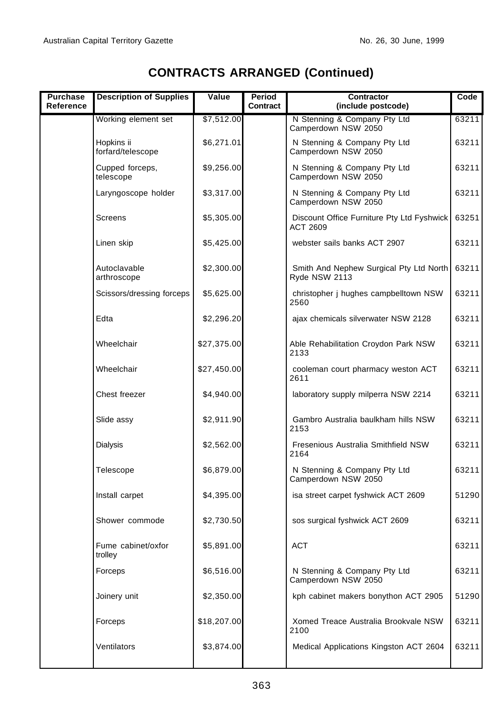Ī

| Purchase<br>Reference | <b>Description of Supplies</b>  | Value       | Period<br>Contract | Contractor<br>(include postcode)                         | Code  |
|-----------------------|---------------------------------|-------------|--------------------|----------------------------------------------------------|-------|
|                       | Working element set             | \$7,512.00  |                    | N Stenning & Company Pty Ltd<br>Camperdown NSW 2050      | 63211 |
|                       | Hopkins ii<br>forfard/telescope | \$6,271.01  |                    | N Stenning & Company Pty Ltd<br>Camperdown NSW 2050      | 63211 |
|                       | Cupped forceps,<br>telescope    | \$9,256.00  |                    | N Stenning & Company Pty Ltd<br>Camperdown NSW 2050      | 63211 |
|                       | Laryngoscope holder             | \$3,317.00  |                    | N Stenning & Company Pty Ltd<br>Camperdown NSW 2050      | 63211 |
|                       | <b>Screens</b>                  | \$5,305.00  |                    | Discount Office Furniture Pty Ltd Fyshwick<br>ACT 2609   | 63251 |
|                       | Linen skip                      | \$5,425.00  |                    | webster sails banks ACT 2907                             | 63211 |
|                       | Autoclavable<br>arthroscope     | \$2,300.00  |                    | Smith And Nephew Surgical Pty Ltd North<br>Ryde NSW 2113 | 63211 |
|                       | Scissors/dressing forceps       | \$5,625.00  |                    | christopher j hughes campbelltown NSW<br>2560            | 63211 |
|                       | Edta                            | \$2,296.20  |                    | ajax chemicals silverwater NSW 2128                      | 63211 |
|                       | Wheelchair                      | \$27,375.00 |                    | Able Rehabilitation Croydon Park NSW<br>2133             | 63211 |
|                       | Wheelchair                      | \$27,450.00 |                    | cooleman court pharmacy weston ACT<br>2611               | 63211 |
|                       | Chest freezer                   | \$4,940.00  |                    | laboratory supply milperra NSW 2214                      | 63211 |
|                       | Slide assy                      | \$2,911.90  |                    | Gambro Australia baulkham hills NSW<br>2153              | 63211 |
|                       | Dialysis                        | \$2,562.00  |                    | Fresenious Australia Smithfield NSW<br>2164              | 63211 |
|                       | Telescope                       | \$6,879.00  |                    | N Stenning & Company Pty Ltd<br>Camperdown NSW 2050      | 63211 |
|                       | Install carpet                  | \$4,395.00  |                    | isa street carpet fyshwick ACT 2609                      | 51290 |
|                       | Shower commode                  | \$2,730.50  |                    | sos surgical fyshwick ACT 2609                           | 63211 |
|                       | Fume cabinet/oxfor<br>trollev   | \$5,891.00  |                    | ACT                                                      | 63211 |
|                       | Forceps                         | \$6,516.00  |                    | N Stenning & Company Pty Ltd<br>Camperdown NSW 2050      | 63211 |
|                       | Joinery unit                    | \$2,350.00  |                    | kph cabinet makers bonython ACT 2905                     | 51290 |
|                       | Forceps                         | \$18,207.00 |                    | Xomed Treace Australia Brookvale NSW<br>2100             | 63211 |
|                       | Ventilators                     | \$3,874.00  |                    | Medical Applications Kingston ACT 2604                   | 63211 |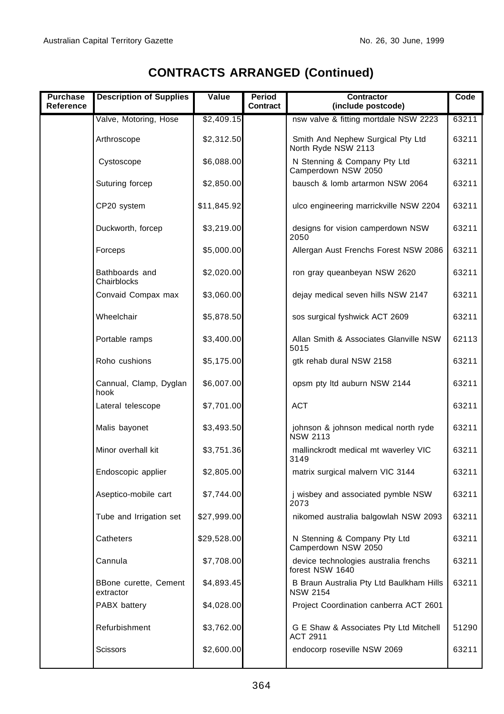| Purchase<br>Reference | <b>Description of Supplies</b>     | Value       | Period<br>Contract | Contractor<br>(include postcode)                            | Code  |
|-----------------------|------------------------------------|-------------|--------------------|-------------------------------------------------------------|-------|
|                       | Valve, Motoring, Hose              | \$2,409.15  |                    | nsw valve & fitting mortdale NSW 2223                       | 63211 |
|                       | Arthroscope                        | \$2,312.50  |                    | Smith And Nephew Surgical Pty Ltd<br>North Ryde NSW 2113    | 63211 |
|                       | Cystoscope                         | \$6,088.00  |                    | N Stenning & Company Pty Ltd<br>Camperdown NSW 2050         | 63211 |
|                       | Suturing forcep                    | \$2,850.00  |                    | bausch & lomb artarmon NSW 2064                             | 63211 |
|                       | CP20 system                        | \$11,845.92 |                    | ulco engineering marrickville NSW 2204                      | 63211 |
|                       | Duckworth, forcep                  | \$3,219.00  |                    | designs for vision camperdown NSW<br>2050                   | 63211 |
|                       | Forceps                            | \$5,000.00  |                    | Allergan Aust Frenchs Forest NSW 2086                       | 63211 |
|                       | Bathboards and<br>Chairblocks      | \$2,020.00  |                    | ron gray queanbeyan NSW 2620                                | 63211 |
|                       | Convaid Compax max                 | \$3,060.00  |                    | dejay medical seven hills NSW 2147                          | 63211 |
|                       | Wheelchair                         | \$5,878.50  |                    | sos surgical fyshwick ACT 2609                              | 63211 |
|                       | Portable ramps                     | \$3,400.00  |                    | Allan Smith & Associates Glanville NSW<br>5015              | 62113 |
|                       | Roho cushions                      | \$5,175.00  |                    | gtk rehab dural NSW 2158                                    | 63211 |
|                       | Cannual, Clamp, Dyglan<br>hook     | \$6,007.00  |                    | opsm pty ltd auburn NSW 2144                                | 63211 |
|                       | Lateral telescope                  | \$7,701.00  |                    | <b>ACT</b>                                                  | 63211 |
|                       | Malis bayonet                      | \$3,493.50  |                    | johnson & johnson medical north ryde<br><b>NSW 2113</b>     | 63211 |
|                       | Minor overhall kit                 | \$3,751.36  |                    | mallinckrodt medical mt waverley VIC<br>3149                | 63211 |
|                       | Endoscopic applier                 | \$2,805.00  |                    | matrix surgical malvern VIC 3144                            | 63211 |
|                       | Aseptico-mobile cart               | \$7,744.00  |                    | i wisbey and associated pymble NSW<br>2073                  | 63211 |
|                       | Tube and Irrigation set            | \$27,999.00 |                    | nikomed australia balgowlah NSW 2093                        | 63211 |
|                       | Catheters                          | \$29,528.00 |                    | N Stenning & Company Pty Ltd<br>Camperdown NSW 2050         | 63211 |
|                       | Cannula                            | \$7,708.00  |                    | device technologies australia frenchs<br>forest NSW 1640    | 63211 |
|                       | BBone curette, Cement<br>extractor | \$4,893.45  |                    | B Braun Australia Pty Ltd Baulkham Hills<br><b>NSW 2154</b> | 63211 |
|                       | PABX battery                       | \$4,028.00  |                    | Project Coordination canberra ACT 2601                      |       |
|                       | Refurbishment                      | \$3,762.00  |                    | G E Shaw & Associates Pty Ltd Mitchell<br><b>ACT 2911</b>   | 51290 |
|                       | <b>Scissors</b>                    | \$2,600.00  |                    | endocorp roseville NSW 2069                                 | 63211 |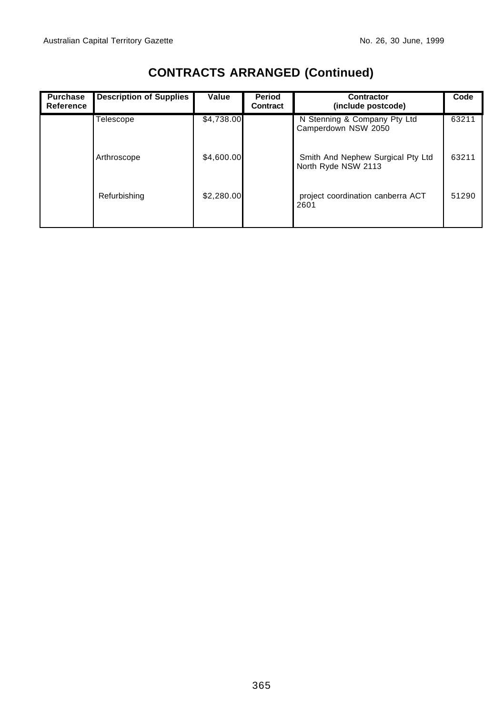| <b>Purchase</b><br>Reference | <b>Description of Supplies</b> | Value      | Period<br>Contract | Contractor<br>(include postcode)                         | Code  |
|------------------------------|--------------------------------|------------|--------------------|----------------------------------------------------------|-------|
|                              | Telescope                      | \$4,738.00 |                    | N Stenning & Company Pty Ltd<br>Camperdown NSW 2050      | 63211 |
|                              | Arthroscope                    | \$4,600.00 |                    | Smith And Nephew Surgical Pty Ltd<br>North Ryde NSW 2113 | 63211 |
|                              | Refurbishing                   | \$2,280.00 |                    | project coordination canberra ACT<br>2601                | 51290 |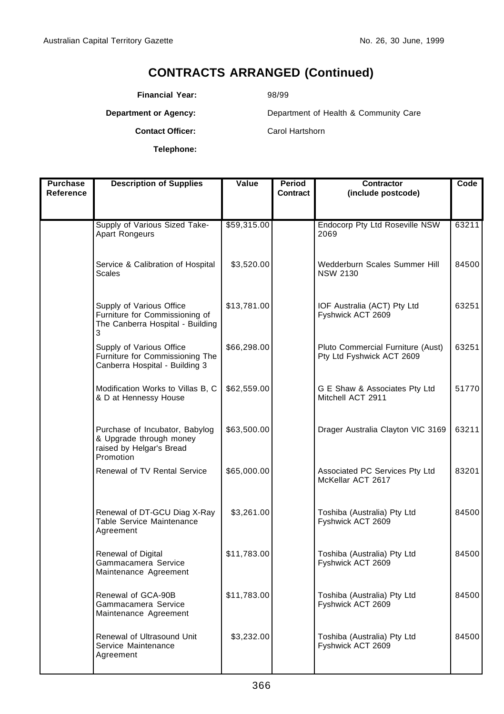**Financial Year:** 98/99

**Department or Agency:** Department of Health & Community Care

**Telephone:**

**Contact Officer:** Carol Hartshorn

| <b>Purchase</b> | <b>Description of Supplies</b>                                                                      | Value       | Period   | <b>Contractor</b>                                              | Code  |
|-----------------|-----------------------------------------------------------------------------------------------------|-------------|----------|----------------------------------------------------------------|-------|
| Reference       |                                                                                                     |             | Contract | (include postcode)                                             |       |
|                 |                                                                                                     |             |          |                                                                |       |
|                 | Supply of Various Sized Take-<br>Apart Rongeurs                                                     | \$59,315.00 |          | Endocorp Pty Ltd Roseville NSW<br>2069                         | 63211 |
|                 | Service & Calibration of Hospital<br><b>Scales</b>                                                  | \$3,520.00  |          | Wedderburn Scales Summer Hill<br><b>NSW 2130</b>               | 84500 |
|                 | Supply of Various Office<br>Furniture for Commissioning of<br>The Canberra Hospital - Building<br>3 | \$13,781.00 |          | IOF Australia (ACT) Pty Ltd<br>Fyshwick ACT 2609               | 63251 |
|                 | Supply of Various Office<br>Furniture for Commissioning The<br>Canberra Hospital - Building 3       | \$66,298.00 |          | Pluto Commercial Furniture (Aust)<br>Pty Ltd Fyshwick ACT 2609 | 63251 |
|                 | Modification Works to Villas B, C<br>& D at Hennessy House                                          | \$62,559.00 |          | G E Shaw & Associates Pty Ltd<br>Mitchell ACT 2911             | 51770 |
|                 | Purchase of Incubator, Babylog<br>& Upgrade through money<br>raised by Helgar's Bread<br>Promotion  | \$63,500.00 |          | Drager Australia Clayton VIC 3169                              | 63211 |
|                 | <b>Renewal of TV Rental Service</b>                                                                 | \$65,000.00 |          | Associated PC Services Pty Ltd<br>McKellar ACT 2617            | 83201 |
|                 | Renewal of DT-GCU Diag X-Ray<br>Table Service Maintenance<br>Agreement                              | \$3,261.00  |          | Toshiba (Australia) Pty Ltd<br>Fyshwick ACT 2609               | 84500 |
|                 | Renewal of Digital<br>Gammacamera Service<br>Maintenance Agreement                                  | \$11,783.00 |          | Toshiba (Australia) Pty Ltd<br>Fyshwick ACT 2609               | 84500 |
|                 | Renewal of GCA-90B<br>Gammacamera Service<br>Maintenance Agreement                                  | \$11,783.00 |          | Toshiba (Australia) Pty Ltd<br>Fyshwick ACT 2609               | 84500 |
|                 | Renewal of Ultrasound Unit<br>Service Maintenance<br>Agreement                                      | \$3,232.00  |          | Toshiba (Australia) Pty Ltd<br>Fyshwick ACT 2609               | 84500 |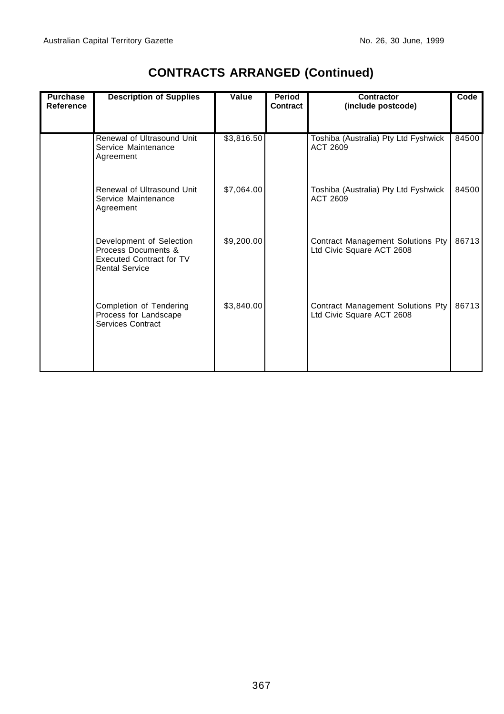| <b>Purchase</b><br><b>Reference</b> | <b>Description of Supplies</b>                                                                              | Value      | Period<br>Contract | Contractor<br>(include postcode)                               | Code  |
|-------------------------------------|-------------------------------------------------------------------------------------------------------------|------------|--------------------|----------------------------------------------------------------|-------|
|                                     | Renewal of Ultrasound Unit<br>Service Maintenance<br>Agreement                                              | \$3,816.50 |                    | Toshiba (Australia) Pty Ltd Fyshwick<br>ACT 2609               | 84500 |
|                                     | Renewal of Ultrasound Unit<br>Service Maintenance<br>Agreement                                              | \$7,064.00 |                    | Toshiba (Australia) Pty Ltd Fyshwick<br>ACT 2609               | 84500 |
|                                     | Development of Selection<br>Process Documents &<br><b>Executed Contract for TV</b><br><b>Rental Service</b> | \$9,200.00 |                    | Contract Management Solutions Pty<br>Ltd Civic Square ACT 2608 | 86713 |
|                                     | Completion of Tendering<br>Process for Landscape<br>Services Contract                                       | \$3,840.00 |                    | Contract Management Solutions Pty<br>Ltd Civic Square ACT 2608 | 86713 |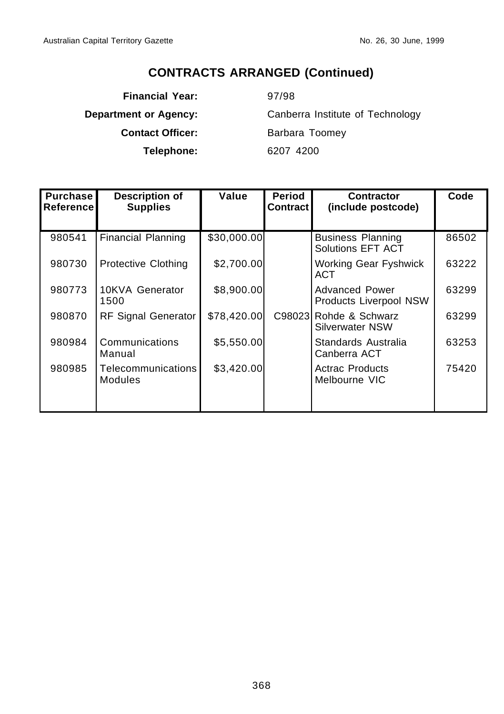**Financial Year:** 97/98 **Contact Officer:** Barbara Toomey **Telephone:** 6207 4200

**Department or Agency:** Canberra Institute of Technology

| Purchase<br>∣Reference ∣ | <b>Description of</b><br><b>Supplies</b> | Value       | <b>Period</b><br><b>Contract</b> | <b>Contractor</b><br>(include postcode)                | Code  |
|--------------------------|------------------------------------------|-------------|----------------------------------|--------------------------------------------------------|-------|
|                          |                                          |             |                                  |                                                        |       |
| 980541                   | <b>Financial Planning</b>                | \$30,000.00 |                                  | <b>Business Planning</b><br><b>Solutions EFT ACT</b>   | 86502 |
| 980730                   | <b>Protective Clothing</b>               | \$2,700.00  |                                  | <b>Working Gear Fyshwick</b><br>ACT                    | 63222 |
| 980773                   | 10KVA Generator<br>1500                  | \$8,900.00  |                                  | <b>Advanced Power</b><br><b>Products Liverpool NSW</b> | 63299 |
| 980870                   | <b>RF Signal Generator</b>               | \$78,420.00 | C98023                           | Rohde & Schwarz<br><b>Silverwater NSW</b>              | 63299 |
| 980984                   | Communications<br>Manual                 | \$5,550.00  |                                  | Standards Australia<br>Canberra ACT                    | 63253 |
| 980985                   | Telecommunications<br>Modules            | \$3,420.00  |                                  | <b>Actrac Products</b><br>Melbourne VIC                | 75420 |
|                          |                                          |             |                                  |                                                        |       |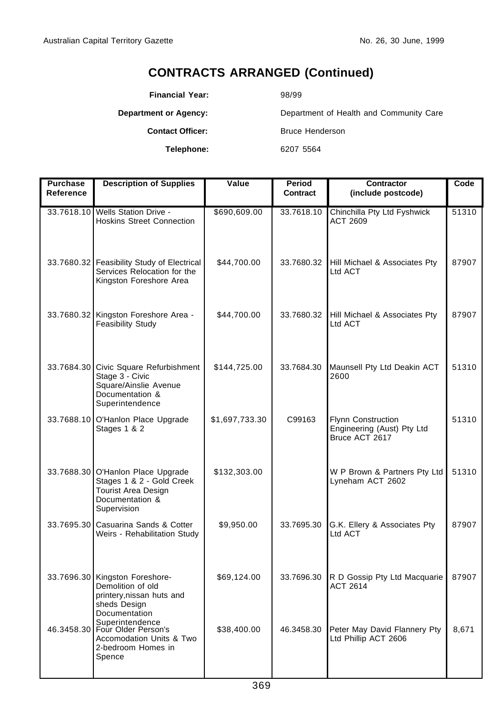**Financial Year:** 98/99

**Telephone:** 6207 5564

**Department or Agency:** Department of Health and Community Care **Contact Officer:** Bruce Henderson

| <b>Purchase</b><br>Reference | <b>Description of Supplies</b>                                                                                          | Value          | Period<br><b>Contract</b> | <b>Contractor</b><br>(include postcode)                                   | Code  |
|------------------------------|-------------------------------------------------------------------------------------------------------------------------|----------------|---------------------------|---------------------------------------------------------------------------|-------|
|                              | 33.7618.10 Wells Station Drive -<br><b>Hoskins Street Connection</b>                                                    | \$690,609.00   | 33.7618.10                | Chinchilla Pty Ltd Fyshwick<br><b>ACT 2609</b>                            | 51310 |
|                              | 33.7680.32 Feasibility Study of Electrical<br>Services Relocation for the<br>Kingston Foreshore Area                    | \$44,700.00    | 33.7680.32                | Hill Michael & Associates Pty<br>Ltd ACT                                  | 87907 |
|                              | 33.7680.32 Kingston Foreshore Area -<br>Feasibility Study                                                               | \$44,700.00    | 33.7680.32                | Hill Michael & Associates Pty<br>Ltd ACT                                  | 87907 |
|                              | 33.7684.30 Civic Square Refurbishment<br>Stage 3 - Civic<br>Square/Ainslie Avenue<br>Documentation &<br>Superintendence | \$144,725.00   | 33.7684.30                | Maunsell Pty Ltd Deakin ACT<br>2600                                       | 51310 |
|                              | 33.7688.10 O'Hanlon Place Upgrade<br>Stages 1 & 2                                                                       | \$1,697,733.30 | C99163                    | <b>Flynn Construction</b><br>Engineering (Aust) Pty Ltd<br>Bruce ACT 2617 | 51310 |
|                              | 33.7688.30 O'Hanlon Place Upgrade<br>Stages 1 & 2 - Gold Creek<br>Tourist Area Design<br>Documentation &<br>Supervision | \$132,303.00   |                           | W P Brown & Partners Pty Ltd<br>Lyneham ACT 2602                          | 51310 |
|                              | 33.7695.30 Casuarina Sands & Cotter<br>Weirs - Rehabilitation Study                                                     | \$9,950.00     | 33.7695.30                | G.K. Ellery & Associates Pty<br>Ltd ACT                                   | 87907 |
|                              | 33.7696.30 Kingston Foreshore-<br>Demolition of old<br>printery, nissan huts and<br>sheds Design<br>Documentation       | \$69,124.00    | 33.7696.30                | R D Gossip Pty Ltd Macquarie<br>ACT 2614                                  | 87907 |
|                              | Superintendence<br>46.3458.30 Four Older Person's<br>Accomodation Units & Two<br>2-bedroom Homes in<br>Spence           | \$38,400.00    | 46.3458.30                | Peter May David Flannery Pty<br>Ltd Phillip ACT 2606                      | 8,671 |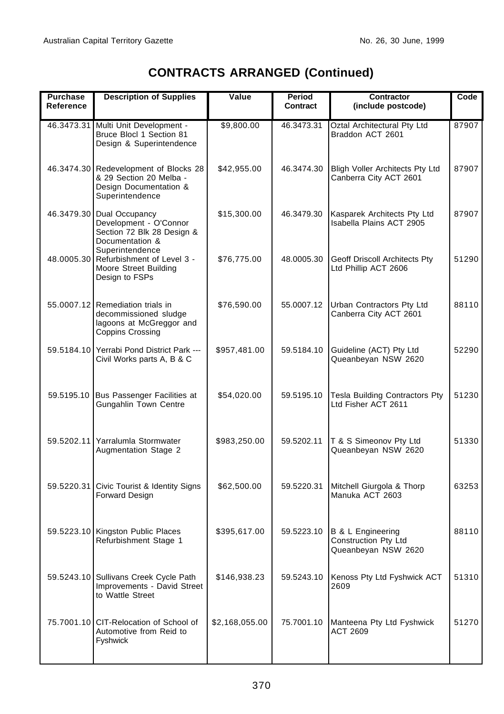| <b>Purchase</b><br>Reference | <b>Description of Supplies</b>                                                                                   | Value          | Period<br><b>Contract</b> | Contractor<br>(include postcode)                                            | Code  |
|------------------------------|------------------------------------------------------------------------------------------------------------------|----------------|---------------------------|-----------------------------------------------------------------------------|-------|
|                              | 46.3473.31 Multi Unit Development -<br>Bruce Blocl 1 Section 81<br>Design & Superintendence                      | \$9,800.00     | 46.3473.31                | Oztal Architectural Pty Ltd<br>Braddon ACT 2601                             | 87907 |
|                              | 46.3474.30 Redevelopment of Blocks 28<br>& 29 Section 20 Melba -<br>Design Documentation &<br>Superintendence    | \$42,955.00    | 46.3474.30                | <b>Bligh Voller Architects Pty Ltd</b><br>Canberra City ACT 2601            | 87907 |
|                              | 46.3479.30 Dual Occupancy<br>Development - O'Connor<br>Section 72 Blk 28 Design &<br>Documentation &             | \$15,300.00    | 46.3479.30                | Kasparek Architects Pty Ltd<br>Isabella Plains ACT 2905                     | 87907 |
|                              | Superintendence<br>48.0005.30 Refurbishment of Level 3 -<br>Moore Street Building<br>Design to FSPs              | \$76,775.00    | 48.0005.30                | Geoff Driscoll Architects Pty<br>Ltd Phillip ACT 2606                       | 51290 |
|                              | 55.0007.12 Remediation trials in<br>decommissioned sludge<br>lagoons at McGreggor and<br><b>Coppins Crossing</b> | \$76,590.00    | 55.0007.12                | Urban Contractors Pty Ltd<br>Canberra City ACT 2601                         | 88110 |
|                              | 59.5184.10 Yerrabi Pond District Park ---<br>Civil Works parts A, B & C                                          | \$957,481.00   | 59.5184.10                | Guideline (ACT) Pty Ltd<br>Queanbeyan NSW 2620                              | 52290 |
|                              | 59.5195.10 Bus Passenger Facilities at<br>Gungahlin Town Centre                                                  | \$54,020.00    | 59.5195.10                | Tesla Building Contractors Pty<br>Ltd Fisher ACT 2611                       | 51230 |
|                              | 59.5202.11 Yarralumla Stormwater<br>Augmentation Stage 2                                                         | \$983,250.00   | 59.5202.11                | T & S Simeonov Pty Ltd<br>Queanbeyan NSW 2620                               | 51330 |
|                              | 59.5220.31 Civic Tourist & Identity Signs<br>Forward Design                                                      | \$62,500.00    | 59.5220.31                | Mitchell Giurgola & Thorp<br>Manuka ACT 2603                                | 63253 |
|                              | 59.5223.10 Kingston Public Places<br>Refurbishment Stage 1                                                       | \$395,617.00   | 59.5223.10                | <b>B &amp; L Engineering</b><br>Construction Pty Ltd<br>Queanbeyan NSW 2620 | 88110 |
|                              | 59.5243.10 Sullivans Creek Cycle Path<br>Improvements - David Street<br>to Wattle Street                         | \$146,938.23   | 59.5243.10                | Kenoss Pty Ltd Fyshwick ACT<br>2609                                         | 51310 |
|                              | 75.7001.10 CIT-Relocation of School of<br>Automotive from Reid to<br>Fyshwick                                    | \$2,168,055.00 | 75.7001.10                | Manteena Pty Ltd Fyshwick<br><b>ACT 2609</b>                                | 51270 |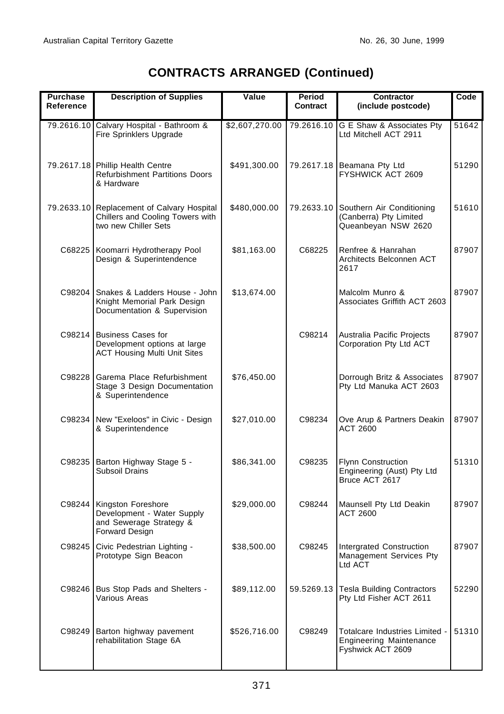| <b>Purchase</b><br><b>Reference</b> | <b>Description of Supplies</b>                                                                         | Value          | Period<br><b>Contract</b> | Contractor<br>(include postcode)                                                      | Code  |
|-------------------------------------|--------------------------------------------------------------------------------------------------------|----------------|---------------------------|---------------------------------------------------------------------------------------|-------|
| 79.2616.10                          | Calvary Hospital - Bathroom &<br>Fire Sprinklers Upgrade                                               | \$2,607,270.00 | 79.2616.10                | G E Shaw & Associates Pty<br>Ltd Mitchell ACT 2911                                    | 51642 |
|                                     | 79.2617.18 Phillip Health Centre<br><b>Refurbishment Partitions Doors</b><br>& Hardware                | \$491,300.00   | 79.2617.18                | Beamana Pty Ltd<br>FYSHWICK ACT 2609                                                  | 51290 |
|                                     | 79.2633.10 Replacement of Calvary Hospital<br>Chillers and Cooling Towers with<br>two new Chiller Sets | \$480,000.00   | 79.2633.10                | Southern Air Conditioning<br>(Canberra) Pty Limited<br>Queanbeyan NSW 2620            | 51610 |
|                                     | C68225 Koomarri Hydrotherapy Pool<br>Design & Superintendence                                          | \$81,163.00    | C68225                    | Renfree & Hanrahan<br>Architects Belconnen ACT<br>2617                                | 87907 |
| C98204                              | Snakes & Ladders House - John<br>Knight Memorial Park Design<br>Documentation & Supervision            | \$13,674.00    |                           | Malcolm Munro &<br>Associates Griffith ACT 2603                                       | 87907 |
|                                     | C98214 Business Cases for<br>Development options at large<br><b>ACT Housing Multi Unit Sites</b>       |                | C98214                    | Australia Pacific Projects<br>Corporation Pty Ltd ACT                                 | 87907 |
| C98228                              | Garema Place Refurbishment<br>Stage 3 Design Documentation<br>& Superintendence                        | \$76,450.00    |                           | Dorrough Britz & Associates<br>Pty Ltd Manuka ACT 2603                                | 87907 |
|                                     | C98234 New "Exeloos" in Civic - Design<br>& Superintendence                                            | \$27,010.00    | C98234                    | Ove Arup & Partners Deakin<br>ACT 2600                                                | 87907 |
|                                     | C98235 Barton Highway Stage 5 -<br>Subsoil Drains                                                      | \$86,341.00    | C98235                    | <b>Flynn Construction</b><br>Engineering (Aust) Pty Ltd<br>Bruce ACT 2617             | 51310 |
|                                     | C98244 Kingston Foreshore<br>Development - Water Supply<br>and Sewerage Strategy &<br>Forward Design   | \$29,000.00    | C98244                    | Maunsell Pty Ltd Deakin<br>ACT 2600                                                   | 87907 |
|                                     | C98245 Civic Pedestrian Lighting -<br>Prototype Sign Beacon                                            | \$38,500.00    | C98245                    | Intergrated Construction<br>Management Services Pty<br>Ltd ACT                        | 87907 |
|                                     | C98246 Bus Stop Pads and Shelters -<br>Various Areas                                                   | \$89,112.00    | 59.5269.13                | <b>Tesla Building Contractors</b><br>Pty Ltd Fisher ACT 2611                          | 52290 |
|                                     | C98249 Barton highway pavement<br>rehabilitation Stage 6A                                              | \$526,716.00   | C98249                    | Totalcare Industries Limited -<br><b>Engineering Maintenance</b><br>Fyshwick ACT 2609 | 51310 |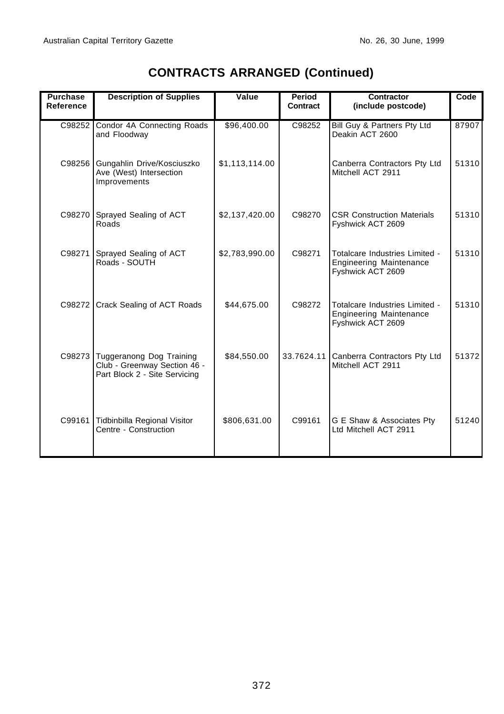r

| <b>Purchase</b><br>Reference | <b>Description of Supplies</b>                                                            | Value          | Period<br>Contract | Contractor<br>(include postcode)                                                      | Code  |
|------------------------------|-------------------------------------------------------------------------------------------|----------------|--------------------|---------------------------------------------------------------------------------------|-------|
| C98252                       | Condor 4A Connecting Roads<br>and Floodway                                                | \$96,400.00    | C98252             | Bill Guy & Partners Pty Ltd<br>Deakin ACT 2600                                        | 87907 |
| C98256                       | Gungahlin Drive/Kosciuszko<br>Ave (West) Intersection<br>Improvements                     | \$1,113,114.00 |                    | Canberra Contractors Pty Ltd<br>Mitchell ACT 2911                                     | 51310 |
| C98270                       | Sprayed Sealing of ACT<br>Roads                                                           | \$2,137,420.00 | C98270             | <b>CSR Construction Materials</b><br>Fyshwick ACT 2609                                | 51310 |
| C98271                       | Sprayed Sealing of ACT<br>Roads - SOUTH                                                   | \$2,783,990.00 | C98271             | Totalcare Industries Limited -<br><b>Engineering Maintenance</b><br>Fyshwick ACT 2609 | 51310 |
| C98272                       | Crack Sealing of ACT Roads                                                                | \$44,675.00    | C98272             | Totalcare Industries Limited -<br><b>Engineering Maintenance</b><br>Fyshwick ACT 2609 | 51310 |
| C98273                       | Tuggeranong Dog Training<br>Club - Greenway Section 46 -<br>Part Block 2 - Site Servicing | \$84,550.00    | 33.7624.11         | Canberra Contractors Pty Ltd<br>Mitchell ACT 2911                                     | 51372 |
| C99161                       | Tidbinbilla Regional Visitor<br>Centre - Construction                                     | \$806,631.00   | C99161             | G E Shaw & Associates Pty<br>Ltd Mitchell ACT 2911                                    | 51240 |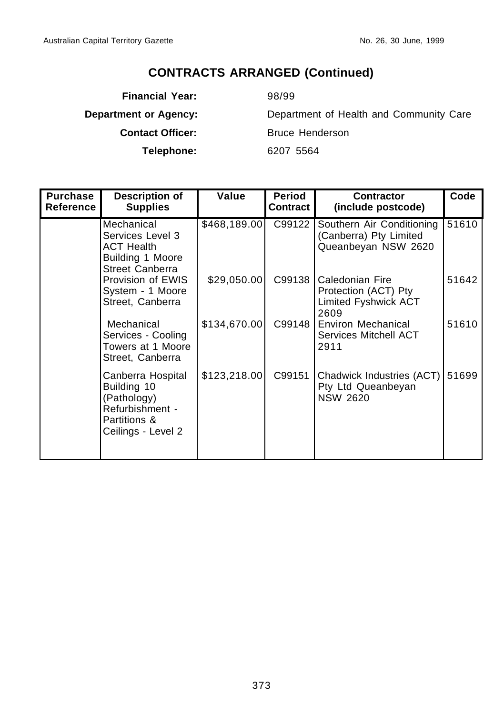**Financial Year:** 98/99

**Telephone:** 6207 5564

**Department or Agency:** Department of Health and Community Care **Contact Officer:** Bruce Henderson

| <b>Purchase</b><br>Reference | <b>Description of</b><br><b>Supplies</b>                                                                 | Value        | Period<br>Contract | <b>Contractor</b><br>(include postcode)                                        | Code  |
|------------------------------|----------------------------------------------------------------------------------------------------------|--------------|--------------------|--------------------------------------------------------------------------------|-------|
|                              | Mechanical<br>Services Level 3<br><b>ACT Health</b><br>Building 1 Moore<br>Street Canberra               | \$468,189.00 | C99122             | Southern Air Conditioning<br>(Canberra) Pty Limited<br>Queanbeyan NSW 2620     | 51610 |
|                              | Provision of EWIS<br>System - 1 Moore<br>Street, Canberra                                                | \$29,050.00  | C99138             | Caledonian Fire<br>Protection (ACT) Pty<br><b>Limited Fyshwick ACT</b><br>2609 | 51642 |
|                              | Mechanical<br>Services - Cooling<br>Towers at 1 Moore<br>Street, Canberra                                | \$134,670.00 | C99148             | Environ Mechanical<br>Services Mitchell ACT<br>2911                            | 51610 |
|                              | Canberra Hospital<br>Building 10<br>(Pathology)<br>Refurbishment -<br>Partitions &<br>Ceilings - Level 2 | \$123,218.00 | C99151             | Chadwick Industries (ACT)<br>Pty Ltd Queanbeyan<br><b>NSW 2620</b>             | 51699 |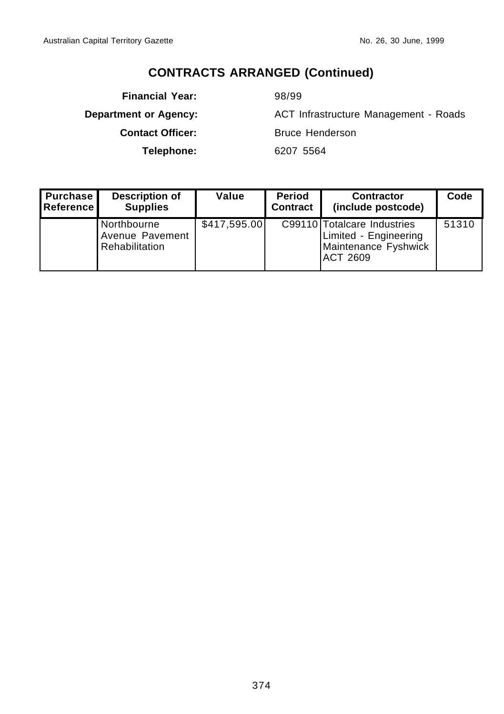**Financial Year:** 98/99 **Contact Officer:** Bruce Henderson **Telephone:** 6207 5564

**Department or Agency:** ACT Infrastructure Management - Roads

| <b>Purchase</b><br><b>Reference</b> | <b>Description of</b><br><b>Supplies</b>         | Value        | <b>Period</b><br><b>Contract</b> | <b>Contractor</b><br>(include postcode)                                                         | Code  |
|-------------------------------------|--------------------------------------------------|--------------|----------------------------------|-------------------------------------------------------------------------------------------------|-------|
|                                     | Northbourne<br>Avenue Pavement<br>Rehabilitation | \$417,595.00 |                                  | C99110 Totalcare Industries<br>Limited - Engineering<br>Maintenance Fyshwick<br><b>ACT 2609</b> | 51310 |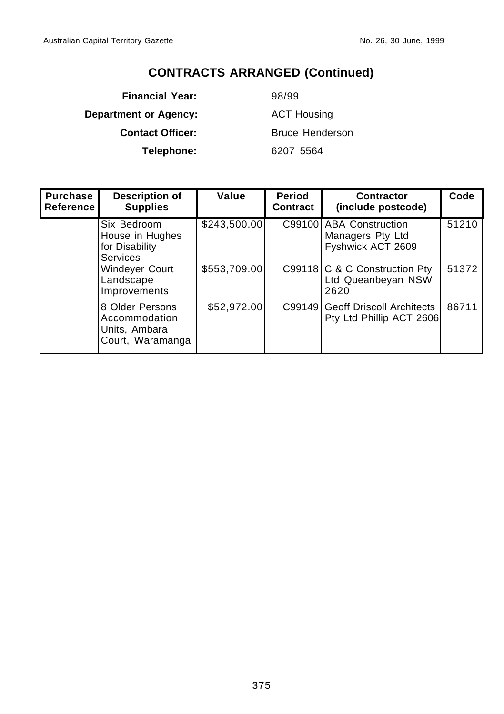**Financial Year:** 98/99 **Department or Agency:** ACT Housing **Contact Officer:** Bruce Henderson **Telephone:** 6207 5564

| <b>Purchase</b><br><b>Reference</b> | <b>Description of</b><br><b>Supplies</b>                              | Value        | <b>Period</b><br><b>Contract</b> | <b>Contractor</b><br>(include postcode)                          | Code  |
|-------------------------------------|-----------------------------------------------------------------------|--------------|----------------------------------|------------------------------------------------------------------|-------|
|                                     | Six Bedroom<br>House in Hughes<br>for Disability<br><b>Services</b>   | \$243,500.00 | C99100                           | <b>ABA Construction</b><br>Managers Pty Ltd<br>Fyshwick ACT 2609 | 51210 |
|                                     | Windeyer Court<br>Landscape<br>Improvements                           | \$553,709.00 |                                  | C99118 C & C Construction Pty<br>Ltd Queanbeyan NSW<br>2620      | 51372 |
|                                     | 8 Older Persons<br>Accommodation<br>Units, Ambara<br>Court, Waramanga | \$52,972.00  | C99149                           | <b>Geoff Driscoll Architects</b><br>Pty Ltd Phillip ACT 2606     | 86711 |